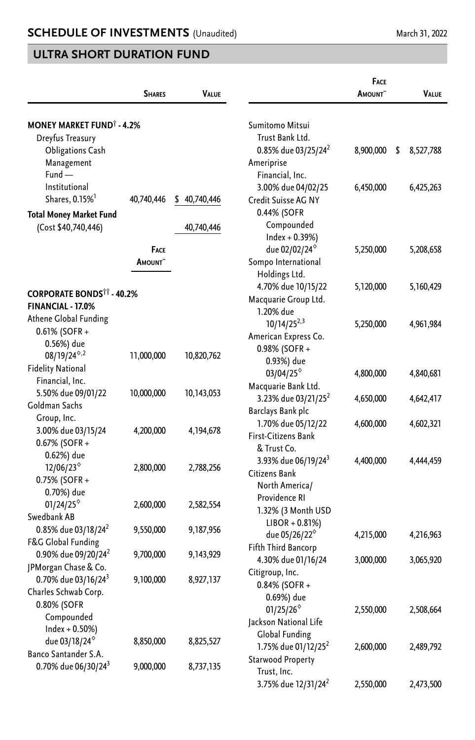|                                             |                 |                  |                                 | FACE                |                 |
|---------------------------------------------|-----------------|------------------|---------------------------------|---------------------|-----------------|
|                                             | <b>SHARES</b>   | VALUE            |                                 | AMOUNT <sup>~</sup> | <b>VALUE</b>    |
|                                             |                 |                  |                                 |                     |                 |
| <b>MONEY MARKET FUND<sup>®</sup> - 4.2%</b> |                 |                  | Sumitomo Mitsui                 |                     |                 |
| Dreyfus Treasury                            |                 |                  | Trust Bank Ltd.                 |                     |                 |
| <b>Obligations Cash</b>                     |                 |                  | 0.85% due 03/25/24 <sup>2</sup> | 8,900,000           | \$<br>8,527,788 |
| Management                                  |                 |                  | Ameriprise                      |                     |                 |
| $Fund -$                                    |                 |                  | Financial, Inc.                 |                     |                 |
| Institutional                               |                 |                  | 3.00% due 04/02/25              | 6,450,000           | 6,425,263       |
| Shares, 0.15% <sup>1</sup>                  | 40,740,446      | \$<br>40,740,446 | Credit Suisse AG NY             |                     |                 |
| <b>Total Money Market Fund</b>              |                 |                  | 0.44% (SOFR                     |                     |                 |
| (Cost \$40,740,446)                         |                 | 40,740,446       | Compounded                      |                     |                 |
|                                             |                 |                  | $Index + 0.39%$                 |                     |                 |
|                                             | FACE            |                  | due 02/02/24 <sup>°</sup>       | 5,250,000           | 5,208,658       |
|                                             | <b>A</b> MOUNT~ |                  | Sompo International             |                     |                 |
|                                             |                 |                  | Holdings Ltd.                   |                     |                 |
|                                             |                 |                  | 4.70% due 10/15/22              | 5,120,000           | 5,160,429       |
| <b>CORPORATE BONDS<sup>11</sup> - 40.2%</b> |                 |                  | Macquarie Group Ltd.            |                     |                 |
| FINANCIAL - 17.0%                           |                 |                  | 1.20% due                       |                     |                 |
| Athene Global Funding                       |                 |                  | $10/14/25^{2,3}$                | 5,250,000           | 4,961,984       |
| 0.61% (SOFR +                               |                 |                  | American Express Co.            |                     |                 |
| 0.56%) due                                  |                 |                  | 0.98% (SOFR +                   |                     |                 |
| $08/19/24^{\diamond,2}$                     | 11,000,000      | 10,820,762       | 0.93%) due                      |                     |                 |
| <b>Fidelity National</b>                    |                 |                  | $03/04/25^{\circ}$              | 4,800,000           | 4,840,681       |
| Financial, Inc.                             |                 |                  | Macquarie Bank Ltd.             |                     |                 |
| 5.50% due 09/01/22                          | 10,000,000      | 10,143,053       | 3.23% due 03/21/25 <sup>2</sup> | 4,650,000           | 4,642,417       |
| Goldman Sachs                               |                 |                  | Barclays Bank plc               |                     |                 |
| Group, Inc.                                 |                 |                  | 1.70% due 05/12/22              | 4,600,000           | 4,602,321       |
| 3.00% due 03/15/24                          | 4,200,000       | 4,194,678        | First-Citizens Bank             |                     |                 |
| 0.67% (SOFR +                               |                 |                  | & Trust Co.                     |                     |                 |
| 0.62%) due                                  |                 |                  | 3.93% due 06/19/24 <sup>3</sup> | 4,400,000           | 4,444,459       |
| 12/06/23 <sup>°</sup>                       | 2,800,000       | 2,788,256        | Citizens Bank                   |                     |                 |
| 0.75% (SOFR +                               |                 |                  | North America/                  |                     |                 |
| 0.70%) due                                  |                 |                  | Providence RI                   |                     |                 |
| 01/24/25 $^{\diamond}$                      | 2,600,000       | 2,582,554        | 1.32% (3 Month USD              |                     |                 |
| Swedbank AB                                 |                 |                  | $LIBOR + 0.81\%)$               |                     |                 |
| 0.85% due 03/18/24 <sup>2</sup>             | 9,550,000       | 9,187,956        | due 05/26/22 <sup>6</sup>       | 4,215,000           | 4,216,963       |
| F&G Global Funding                          |                 |                  | Fifth Third Bancorp             |                     |                 |
| 0.90% due 09/20/24 <sup>2</sup>             | 9,700,000       | 9,143,929        | 4.30% due 01/16/24              | 3,000,000           | 3,065,920       |
| JPMorgan Chase & Co.                        |                 |                  | Citigroup, Inc.                 |                     |                 |
| 0.70% due 03/16/24 <sup>3</sup>             | 9,100,000       | 8,927,137        |                                 |                     |                 |
| Charles Schwab Corp.                        |                 |                  | 0.84% (SOFR +<br>0.69%) due     |                     |                 |
| 0.80% (SOFR                                 |                 |                  |                                 |                     |                 |
| Compounded                                  |                 |                  | $01/25/26^{\circ}$              | 2,550,000           | 2,508,664       |
| $Index + 0.50\%)$                           |                 |                  | Jackson National Life           |                     |                 |
| due 03/18/24 <sup>°</sup>                   | 8,850,000       | 8,825,527        | Global Funding                  |                     |                 |
| Banco Santander S.A.                        |                 |                  | 1.75% due 01/12/25 <sup>2</sup> | 2,600,000           | 2,489,792       |
| 0.70% due 06/30/24 <sup>3</sup>             | 9,000,000       | 8,737,135        | Starwood Property               |                     |                 |
|                                             |                 |                  | Trust, Inc.                     |                     |                 |
|                                             |                 |                  | 3.75% due 12/31/24 <sup>2</sup> | 2,550,000           | 2,473,500       |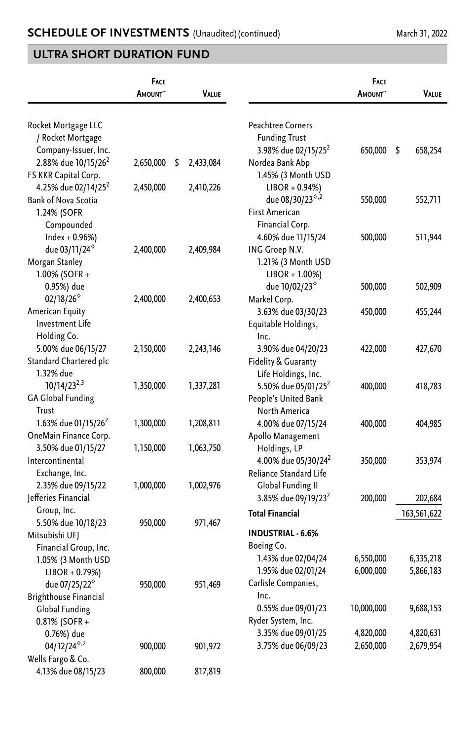|                                         | FACE<br>AMOUNT~ | VALUE           |                                 | FACE<br>AMOUNT~ | VALUE           |
|-----------------------------------------|-----------------|-----------------|---------------------------------|-----------------|-----------------|
| Rocket Mortgage LLC                     |                 |                 | <b>Peachtree Corners</b>        |                 |                 |
| / Rocket Mortgage                       |                 |                 | <b>Funding Trust</b>            |                 |                 |
| Company-Issuer, Inc.                    |                 |                 | 3.98% due 02/15/25 <sup>2</sup> | 650,000         | - \$<br>658,254 |
| 2.88% due 10/15/26 <sup>2</sup>         | 2,650,000       | \$<br>2,433,084 | Nordea Bank Abp                 |                 |                 |
| FS KKR Capital Corp.                    |                 |                 | 1.45% (3 Month USD              |                 |                 |
| 4.25% due 02/14/25 <sup>2</sup>         | 2,450,000       | 2,410,226       | $LIBOR + 0.94%$                 |                 |                 |
| <b>Bank of Nova Scotia</b>              |                 |                 | due 08/30/23 <sup>6,2</sup>     | 550,000         | 552,711         |
| 1.24% (SOFR                             |                 |                 | <b>First American</b>           |                 |                 |
| Compounded                              |                 |                 | Financial Corp.                 |                 |                 |
| Index + 0.96%)                          |                 |                 | 4.60% due 11/15/24              | 500,000         | 511,944         |
| due 03/11/24 <sup>°</sup>               | 2,400,000       | 2,409,984       | ING Groep N.V.                  |                 |                 |
| Morgan Stanley                          |                 |                 | 1.21% (3 Month USD              |                 |                 |
| 1.00% (SOFR+                            |                 |                 | $LIBOR + 1.00\%)$               |                 |                 |
| 0.95%) due                              |                 |                 | due 10/02/23 <sup>°</sup>       | 500,000         | 502,909         |
| $02/18/26^{\circ}$                      | 2,400,000       | 2,400,653       | Markel Corp.                    |                 |                 |
| American Equity                         |                 |                 | 3.63% due 03/30/23              | 450,000         | 455,244         |
| <b>Investment Life</b>                  |                 |                 | Equitable Holdings,             |                 |                 |
| Holding Co.                             |                 |                 | Inc.                            |                 |                 |
| 5.00% due 06/15/27                      | 2,150,000       | 2,243,146       | 3.90% due 04/20/23              | 422,000         | 427,670         |
| Standard Chartered plc                  |                 |                 | Fidelity & Guaranty             |                 |                 |
| 1.32% due                               |                 |                 | Life Holdings, Inc.             |                 |                 |
| $10/14/23^{2,3}$                        | 1,350,000       | 1,337,281       | 5.50% due 05/01/25 <sup>2</sup> | 400,000         | 418,783         |
| <b>GA Global Funding</b>                |                 |                 | People's United Bank            |                 |                 |
| Trust                                   |                 |                 | North America                   |                 |                 |
| 1.63% due 01/15/26 <sup>2</sup>         | 1,300,000       | 1,208,811       | 4.00% due 07/15/24              | 400,000         | 404,985         |
| OneMain Finance Corp.                   |                 |                 | Apollo Management               |                 |                 |
| 3.50% due 01/15/27                      | 1,150,000       | 1,063,750       | Holdings, LP                    |                 |                 |
| Intercontinental                        |                 |                 | 4.00% due 05/30/24 <sup>2</sup> | 350,000         | 353,974         |
| Exchange, Inc.                          |                 |                 | Reliance Standard Life          |                 |                 |
| 2.35% due 09/15/22                      | 1,000,000       | 1,002,976       | Global Funding II               |                 |                 |
| Jefferies Financial                     |                 |                 | 3.85% due 09/19/23 <sup>2</sup> | 200,000         | 202,684         |
| Group, Inc.                             |                 |                 | <b>Total Financial</b>          |                 | 163,561,622     |
| 5.50% due 10/18/23                      | 950,000         | 971,467         |                                 |                 |                 |
| Mitsubishi UFJ                          |                 |                 | <b>INDUSTRIAL - 6.6%</b>        |                 |                 |
| Financial Group, Inc.                   |                 |                 | Boeing Co.                      |                 |                 |
| 1.05% (3 Month USD                      |                 |                 | 1.43% due 02/04/24              | 6,550,000       | 6,335,218       |
| $LIBOR + 0.79%)$                        |                 |                 | 1.95% due 02/01/24              | 6,000,000       | 5,866,183       |
| due 07/25/22 <sup>6</sup>               | 950,000         | 951,469         | Carlisle Companies,<br>Inc.     |                 |                 |
| <b>Brighthouse Financial</b>            |                 |                 |                                 |                 |                 |
| Global Funding                          |                 |                 | 0.55% due 09/01/23              | 10,000,000      | 9,688,153       |
| 0.81% (SOFR +                           |                 |                 | Ryder System, Inc.              |                 |                 |
| 0.76%) due                              |                 |                 | 3.35% due 09/01/25              | 4,820,000       | 4,820,631       |
| $04/12/24^{\diamond,2}$                 | 900,000         | 901,972         | 3.75% due 06/09/23              | 2,650,000       | 2,679,954       |
| Wells Fargo & Co.<br>4.13% due 08/15/23 | 800,000         | 817,819         |                                 |                 |                 |
|                                         |                 |                 |                                 |                 |                 |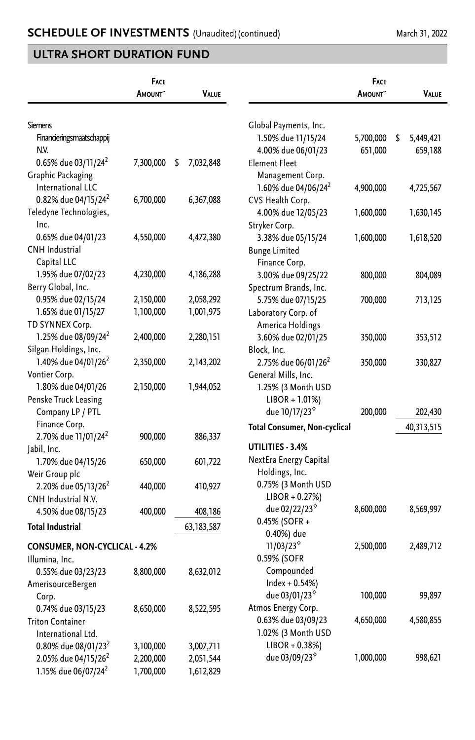|                                 | FACE<br>AMOUNT <sup>~</sup> | VALUE           |                                     | FACE<br><b>A</b> MOUNT~ | VALUE           |
|---------------------------------|-----------------------------|-----------------|-------------------------------------|-------------------------|-----------------|
| <b>Siemens</b>                  |                             |                 | Global Payments, Inc.               |                         |                 |
| Financieringsmaatschappij       |                             |                 | 1.50% due 11/15/24                  | 5,700,000               | \$<br>5,449,421 |
| NV.                             |                             |                 | 4.00% due 06/01/23                  | 651,000                 | 659,188         |
| 0.65% due 03/11/24 <sup>2</sup> | 7,300,000                   | \$<br>7,032,848 | <b>Element Fleet</b>                |                         |                 |
| Graphic Packaging               |                             |                 | Management Corp.                    |                         |                 |
| International LLC               |                             |                 | 1.60% due 04/06/24 <sup>2</sup>     | 4,900,000               | 4,725,567       |
| 0.82% due 04/15/24 <sup>2</sup> | 6,700,000                   | 6,367,088       | CVS Health Corp.                    |                         |                 |
| Teledyne Technologies,          |                             |                 | 4.00% due 12/05/23                  | 1,600,000               | 1,630,145       |
| Inc.                            |                             |                 | Stryker Corp.                       |                         |                 |
| 0.65% due 04/01/23              | 4,550,000                   | 4,472,380       | 3.38% due 05/15/24                  | 1,600,000               | 1,618,520       |
| <b>CNH</b> Industrial           |                             |                 | <b>Bunge Limited</b>                |                         |                 |
| Capital LLC                     |                             |                 | Finance Corp.                       |                         |                 |
| 1.95% due 07/02/23              | 4,230,000                   | 4,186,288       | 3.00% due 09/25/22                  | 800,000                 | 804,089         |
| Berry Global, Inc.              |                             |                 | Spectrum Brands, Inc.               |                         |                 |
| 0.95% due 02/15/24              | 2,150,000                   | 2,058,292       | 5.75% due 07/15/25                  | 700,000                 | 713,125         |
| 1.65% due 01/15/27              | 1,100,000                   | 1,001,975       | Laboratory Corp. of                 |                         |                 |
| TD SYNNEX Corp.                 |                             |                 | America Holdings                    |                         |                 |
| 1.25% due 08/09/24 <sup>2</sup> | 2,400,000                   | 2,280,151       | 3.60% due 02/01/25                  | 350,000                 | 353,512         |
| Silgan Holdings, Inc.           |                             |                 | Block, Inc.                         |                         |                 |
| 1.40% due 04/01/26 <sup>2</sup> | 2,350,000                   | 2,143,202       | 2.75% due 06/01/26 <sup>2</sup>     | 350,000                 | 330,827         |
| Vontier Corp.                   |                             |                 | General Mills, Inc.                 |                         |                 |
| 1.80% due 04/01/26              | 2,150,000                   | 1,944,052       | 1.25% (3 Month USD                  |                         |                 |
| Penske Truck Leasing            |                             |                 | $LIBOR + 1.01\%)$                   |                         |                 |
| Company LP / PTL                |                             |                 | due 10/17/23 <sup>°</sup>           | 200,000                 | 202,430         |
| Finance Corp.                   |                             |                 | <b>Total Consumer, Non-cyclical</b> |                         | 40,313,515      |
| 2.70% due 11/01/24 <sup>2</sup> | 900,000                     | 886,337         |                                     |                         |                 |
| Jabil, Inc.                     |                             |                 | UTILITIES - 3.4%                    |                         |                 |
| 1.70% due 04/15/26              | 650,000                     | 601,722         | NextEra Energy Capital              |                         |                 |
| Weir Group plc                  |                             |                 | Holdings, Inc.                      |                         |                 |
| 2.20% due 05/13/26 <sup>2</sup> | 440,000                     | 410,927         | 0.75% (3 Month USD                  |                         |                 |
| CNH Industrial N.V.             |                             |                 | $LIBOR + 0.27%)$                    |                         |                 |
| 4.50% due 08/15/23              | 400,000                     | 408,186         | due 02/22/23 <sup>°</sup>           | 8,600,000               | 8,569,997       |
| <b>Total Industrial</b>         |                             | 63, 183, 587    | 0.45% (SOFR +                       |                         |                 |
|                                 |                             |                 | 0.40%) due                          |                         |                 |
| CONSUMER, NON-CYCLICAL - 4.2%   |                             |                 | $11/03/23^{\circ}$                  | 2,500,000               | 2,489,712       |
| Illumina, Inc.                  |                             |                 | 0.59% (SOFR                         |                         |                 |
| 0.55% due 03/23/23              | 8,800,000                   | 8,632,012       | Compounded                          |                         |                 |
| AmerisourceBergen               |                             |                 | $Index + 0.54\%)$                   |                         |                 |
| Corp.                           |                             |                 | due 03/01/23°                       | 100,000                 | 99,897          |
| 0.74% due 03/15/23              | 8,650,000                   | 8,522,595       | Atmos Energy Corp.                  |                         |                 |
| <b>Triton Container</b>         |                             |                 | 0.63% due 03/09/23                  | 4,650,000               | 4,580,855       |
| International Ltd.              |                             |                 | 1.02% (3 Month USD                  |                         |                 |
| 0.80% due 08/01/23 <sup>2</sup> | 3,100,000                   | 3,007,711       | $LIBOR + 0.38%$                     |                         |                 |
| 2.05% due 04/15/26 <sup>2</sup> | 2,200,000                   | 2,051,544       | due 03/09/23 <sup>6</sup>           | 1,000,000               | 998,621         |
| 1.15% due 06/07/24 <sup>2</sup> | 1,700,000                   | 1,612,829       |                                     |                         |                 |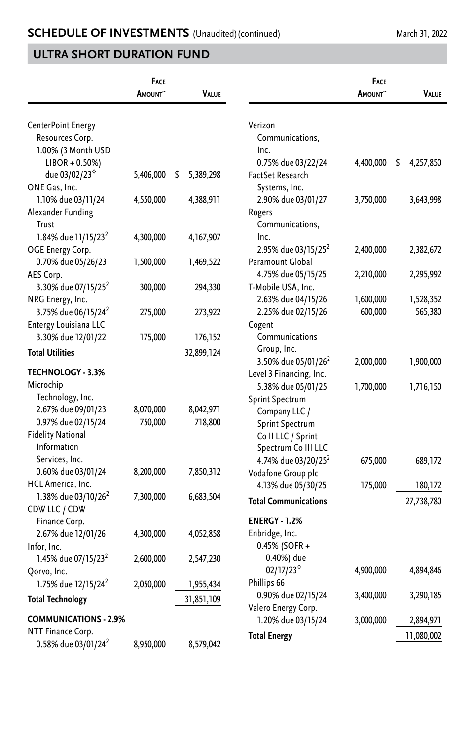|                                 | FACE<br>AMOUNT~ | VALUE          |                                 | <b>FACE</b><br>AMOUNT <sup>~</sup> | VALUE           |
|---------------------------------|-----------------|----------------|---------------------------------|------------------------------------|-----------------|
|                                 |                 |                |                                 |                                    |                 |
| CenterPoint Energy              |                 |                | Verizon                         |                                    |                 |
| Resources Corp.                 |                 |                | Communications,                 |                                    |                 |
| 1.00% (3 Month USD              |                 |                | Inc.                            |                                    |                 |
| $LIBOR + 0.50\%)$               |                 |                | 0.75% due 03/22/24              | 4,400,000                          | \$<br>4,257,850 |
| due 03/02/23 <sup>6</sup>       | 5,406,000       | 5,389,298<br>S | FactSet Research                |                                    |                 |
| ONE Gas, Inc.                   |                 |                | Systems, Inc.                   |                                    |                 |
| 1.10% due 03/11/24              | 4,550,000       | 4,388,911      | 2.90% due 03/01/27              | 3,750,000                          | 3,643,998       |
| Alexander Funding               |                 |                | Rogers                          |                                    |                 |
| Trust                           |                 |                | Communications,                 |                                    |                 |
| 1.84% due 11/15/23 <sup>2</sup> | 4,300,000       | 4, 167, 907    | Inc.                            |                                    |                 |
| OGE Energy Corp.                |                 |                | 2.95% due 03/15/25 <sup>2</sup> | 2,400,000                          | 2,382,672       |
| 0.70% due 05/26/23              | 1,500,000       | 1,469,522      | Paramount Global                |                                    |                 |
| AES Corp.                       |                 |                | 4.75% due 05/15/25              | 2,210,000                          | 2,295,992       |
| 3.30% due 07/15/25 <sup>2</sup> | 300,000         | 294,330        | T-Mobile USA, Inc.              |                                    |                 |
| NRG Energy, Inc.                |                 |                | 2.63% due 04/15/26              | 1,600,000                          | 1,528,352       |
| 3.75% due 06/15/24 <sup>2</sup> | 275,000         | 273,922        | 2.25% due 02/15/26              | 600,000                            | 565,380         |
| Entergy Louisiana LLC           |                 |                | Cogent                          |                                    |                 |
| 3.30% due 12/01/22              | 175,000         | 176,152        | Communications                  |                                    |                 |
| <b>Total Utilities</b>          |                 | 32,899,124     | Group, Inc.                     |                                    |                 |
|                                 |                 |                | 3.50% due 05/01/26 <sup>2</sup> | 2,000,000                          | 1,900,000       |
| <b>TECHNOLOGY - 3.3%</b>        |                 |                | Level 3 Financing, Inc.         |                                    |                 |
| Microchip                       |                 |                | 5.38% due 05/01/25              | 1,700,000                          | 1,716,150       |
| Technology, Inc.                |                 |                | Sprint Spectrum                 |                                    |                 |
| 2.67% due 09/01/23              | 8,070,000       | 8,042,971      | Company LLC /                   |                                    |                 |
| 0.97% due 02/15/24              | 750,000         | 718,800        | Sprint Spectrum                 |                                    |                 |
| <b>Fidelity National</b>        |                 |                | Co II LLC / Sprint              |                                    |                 |
| Information                     |                 |                | Spectrum Co III LLC             |                                    |                 |
| Services, Inc.                  |                 |                | 4.74% due 03/20/25 <sup>2</sup> | 675,000                            | 689,172         |
| 0.60% due 03/01/24              | 8,200,000       | 7,850,312      | Vodafone Group plc              |                                    |                 |
| HCL America, Inc.               |                 |                | 4.13% due 05/30/25              | 175,000                            | 180,172         |
| 1.38% due 03/10/26 <sup>2</sup> | 7,300,000       | 6,683,504      | <b>Total Communications</b>     |                                    | 27,738,780      |
| CDW LLC / CDW                   |                 |                |                                 |                                    |                 |
| Finance Corp.                   |                 |                | <b>ENERGY - 1.2%</b>            |                                    |                 |
| 2.67% due 12/01/26              | 4,300,000       | 4,052,858      | Enbridge, Inc.                  |                                    |                 |
| Infor. Inc.                     |                 |                | 0.45% (SOFR +                   |                                    |                 |
| 1.45% due 07/15/23 <sup>2</sup> | 2,600,000       | 2,547,230      | 0.40%) due                      |                                    |                 |
| Qorvo, Inc.                     |                 |                | 02/17/23                        | 4,900,000                          | 4,894,846       |
| 1.75% due 12/15/24 <sup>2</sup> | 2,050,000       | 1,955,434      | Phillips 66                     |                                    |                 |
| <b>Total Technology</b>         |                 | 31,851,109     | 0.90% due 02/15/24              | 3,400,000                          | 3,290,185       |
| <b>COMMUNICATIONS - 2.9%</b>    |                 |                | Valero Energy Corp.             |                                    |                 |
| NTT Finance Corp.               |                 |                | 1.20% due 03/15/24              | 3,000,000                          | 2,894,971       |
| 0.58% due 03/01/24 <sup>2</sup> | 8,950,000       | 8,579,042      | <b>Total Energy</b>             |                                    | 11,080,002      |
|                                 |                 |                |                                 |                                    |                 |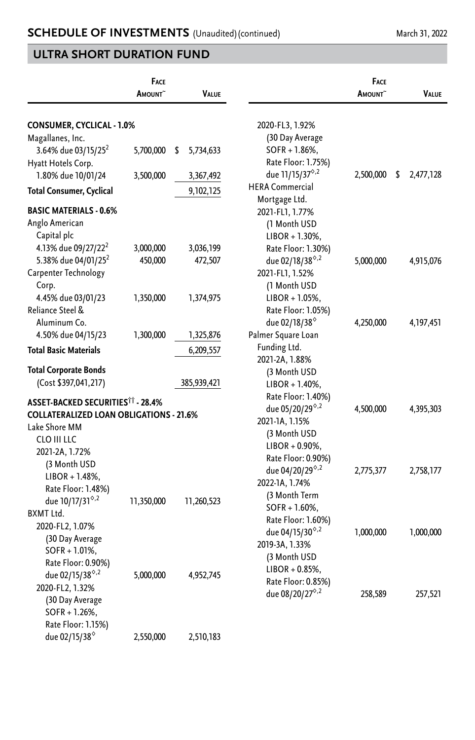|                                                                    | FACE<br><b>A</b> mount~ | <b>VALUE</b>    |                                         | FACE<br><b>AMOUNT</b> | VALUE           |
|--------------------------------------------------------------------|-------------------------|-----------------|-----------------------------------------|-----------------------|-----------------|
| CONSUMER, CYCLICAL - 1.0%                                          |                         |                 | 2020-FL3, 1.92%                         |                       |                 |
| Magallanes, Inc.                                                   |                         |                 | (30 Day Average                         |                       |                 |
| 3.64% due 03/15/25 <sup>2</sup>                                    | 5,700,000               | \$<br>5,734,633 | $SOFR + 1.86%$                          |                       |                 |
| Hyatt Hotels Corp.                                                 |                         |                 | Rate Floor: 1.75%)                      |                       |                 |
| 1.80% due 10/01/24                                                 | 3,500,000               | 3,367,492       | due 11/15/37 <sup>6,2</sup>             | 2,500,000             | \$<br>2,477,128 |
| Total Consumer, Cyclical                                           |                         | 9,102,125       | <b>HERA Commercial</b>                  |                       |                 |
|                                                                    |                         |                 | Mortgage Ltd.                           |                       |                 |
| <b>BASIC MATERIALS - 0.6%</b>                                      |                         |                 | 2021-FL1, 1.77%                         |                       |                 |
| Anglo American                                                     |                         |                 | (1 Month USD                            |                       |                 |
| Capital plc                                                        |                         |                 | $LIBOR + 1.30\%,$                       |                       |                 |
| 4.13% due 09/27/22 <sup>2</sup><br>5.38% due 04/01/25 <sup>2</sup> | 3,000,000               | 3,036,199       | Rate Floor: 1.30%)                      |                       |                 |
|                                                                    | 450,000                 | 472,507         | due 02/18/38 <sup>6,2</sup>             | 5,000,000             | 4,915,076       |
| Carpenter Technology                                               |                         |                 | 2021-FL1, 1.52%                         |                       |                 |
| Corp.                                                              |                         | 1,374,975       | (1 Month USD                            |                       |                 |
| 4.45% due 03/01/23<br>Reliance Steel &                             | 1,350,000               |                 | $LIBOR + 1.05%$ ,<br>Rate Floor: 1.05%) |                       |                 |
| Aluminum Co.                                                       |                         |                 | due 02/18/38 <sup>°</sup>               | 4,250,000             | 4, 197, 451     |
| 4.50% due 04/15/23                                                 | 1,300,000               | 1,325,876       | Palmer Square Loan                      |                       |                 |
|                                                                    |                         |                 | Funding Ltd.                            |                       |                 |
| <b>Total Basic Materials</b>                                       |                         | 6,209,557       | 2021-2A, 1.88%                          |                       |                 |
| <b>Total Corporate Bonds</b>                                       |                         |                 | (3 Month USD                            |                       |                 |
| (Cost \$397,041,217)                                               |                         | 385,939,421     | $LIBOR + 1.40\%$ ,                      |                       |                 |
|                                                                    |                         |                 | Rate Floor: 1.40%)                      |                       |                 |
| ASSET-BACKED SECURITIES†† - 28.4%                                  |                         |                 | due 05/20/29 <sup>8,2</sup>             | 4,500,000             | 4,395,303       |
| <b>COLLATERALIZED LOAN OBLIGATIONS - 21.6%</b>                     |                         |                 | 2021-1A, 1.15%                          |                       |                 |
| Lake Shore MM                                                      |                         |                 | (3 Month USD                            |                       |                 |
| CLO III LLC                                                        |                         |                 | $LIBOR + 0.90\%$                        |                       |                 |
| 2021-2A, 1.72%                                                     |                         |                 | Rate Floor: 0.90%)                      |                       |                 |
| (3 Month USD                                                       |                         |                 | due 04/20/29 <sup>6,2</sup>             | 2,775,377             | 2,758,177       |
| $LIBOR + 1.48%$ ,                                                  |                         |                 | 2022-1A, 1.74%                          |                       |                 |
| Rate Floor: 1.48%)                                                 |                         |                 | (3 Month Term                           |                       |                 |
| due 10/17/31 <sup>6,2</sup><br>BXMT Ltd.                           | 11,350,000              | 11,260,523      | $SOFR + 1.60\%$ ,                       |                       |                 |
| 2020-FL2, 1.07%                                                    |                         |                 | Rate Floor: 1.60%)                      |                       |                 |
| (30 Day Average                                                    |                         |                 | due 04/15/30 $8,2$                      | 1,000,000             | 1,000,000       |
| SOFR + 1.01%,                                                      |                         |                 | 2019-3A, 1.33%                          |                       |                 |
| Rate Floor: 0.90%)                                                 |                         |                 | (3 Month USD                            |                       |                 |
| due 02/15/38 <sup>6,2</sup>                                        | 5,000,000               | 4,952,745       | $LIBOR + 0.85%$                         |                       |                 |
| 2020-FL2, 1.32%                                                    |                         |                 | Rate Floor: 0.85%)                      |                       |                 |
| (30 Day Average                                                    |                         |                 | due 08/20/27 <sup>6,2</sup>             | 258,589               | 257,521         |
| $SOFR + 1.26%$                                                     |                         |                 |                                         |                       |                 |
| Rate Floor: 1.15%)                                                 |                         |                 |                                         |                       |                 |
| due 02/15/38 <sup>6</sup>                                          | 2,550,000               | 2,510,183       |                                         |                       |                 |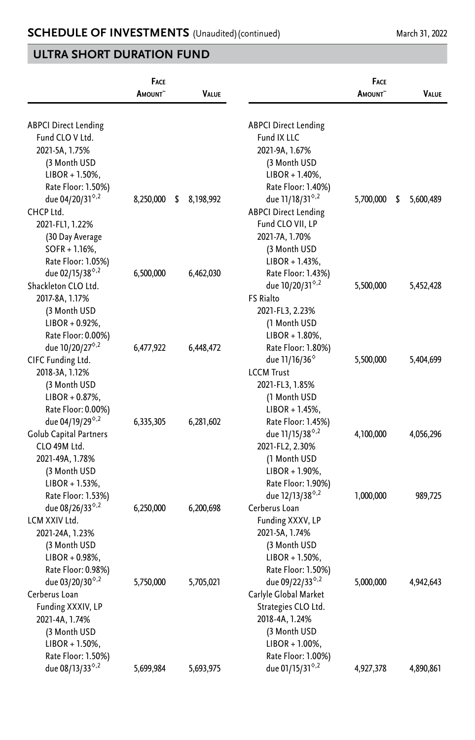|                                                   | <b>FACE</b><br>AMOUNT <sup>~</sup> | VALUE           |                                                   | <b>FACE</b><br><b>A</b> MOUNT | VALUE           |
|---------------------------------------------------|------------------------------------|-----------------|---------------------------------------------------|-------------------------------|-----------------|
| <b>ABPCI Direct Lending</b>                       |                                    |                 | <b>ABPCI Direct Lending</b>                       |                               |                 |
| Fund CLO V Ltd.                                   |                                    |                 | Fund IX LLC                                       |                               |                 |
| 2021-5A, 1.75%                                    |                                    |                 | 2021-9A, 1.67%                                    |                               |                 |
| (3 Month USD                                      |                                    |                 | (3 Month USD                                      |                               |                 |
| $LIBOR + 1.50\%,$                                 |                                    |                 | $LIBOR + 1.40\%$ ,                                |                               |                 |
| Rate Floor: 1.50%)                                |                                    |                 | Rate Floor: 1.40%)                                |                               |                 |
| due 04/20/31 <sup>6,2</sup>                       | 8,250,000                          | \$<br>8,198,992 | due 11/18/31 <sup>6,2</sup>                       | 5,700,000                     | 5,600,489<br>\$ |
| CHCP Ltd.                                         |                                    |                 | <b>ABPCI Direct Lending</b>                       |                               |                 |
| 2021-FL1, 1.22%                                   |                                    |                 | Fund CLO VII, LP                                  |                               |                 |
| (30 Day Average                                   |                                    |                 | 2021-7A, 1.70%                                    |                               |                 |
| $SOFR + 1.16%$                                    |                                    |                 | (3 Month USD                                      |                               |                 |
| Rate Floor: 1.05%)<br>due 02/15/38 <sup>6,2</sup> |                                    |                 | $LIBOR + 1.43%$                                   |                               |                 |
| Shackleton CLO Ltd.                               | 6,500,000                          | 6,462,030       | Rate Floor: 1.43%)<br>due 10/20/31 <sup>9,2</sup> | 5,500,000                     | 5,452,428       |
| 2017-8A, 1.17%                                    |                                    |                 | <b>FS Rialto</b>                                  |                               |                 |
| (3 Month USD                                      |                                    |                 | 2021-FL3, 2.23%                                   |                               |                 |
| $LIBOR + 0.92\%$                                  |                                    |                 | (1 Month USD                                      |                               |                 |
| Rate Floor: 0.00%)                                |                                    |                 | $LIBOR + 1.80\%$ ,                                |                               |                 |
| due 10/20/27 <sup>6,2</sup>                       | 6,477,922                          | 6,448,472       | Rate Floor: 1.80%)                                |                               |                 |
| CIFC Funding Ltd.                                 |                                    |                 | due 11/16/36 <sup>°</sup>                         | 5,500,000                     | 5,404,699       |
| 2018-3A, 1.12%                                    |                                    |                 | <b>LCCM Trust</b>                                 |                               |                 |
| (3 Month USD                                      |                                    |                 | 2021-FL3, 1.85%                                   |                               |                 |
| $LIBOR + 0.87\%$                                  |                                    |                 | (1 Month USD                                      |                               |                 |
| Rate Floor: 0.00%)                                |                                    |                 | $LIBOR + 1.45%$ ,                                 |                               |                 |
| due 04/19/29 <sup><math>\diamond</math>,2</sup>   | 6,335,305                          | 6,281,602       | Rate Floor: 1.45%)                                |                               |                 |
| Golub Capital Partners                            |                                    |                 | due 11/15/38 <sup>°,2</sup>                       | 4,100,000                     | 4,056,296       |
| CLO 49M Ltd.                                      |                                    |                 | 2021-FL2, 2.30%                                   |                               |                 |
| 2021-49A, 1.78%                                   |                                    |                 | (1 Month USD                                      |                               |                 |
| (3 Month USD                                      |                                    |                 | $LIBOR + 1.90\%$                                  |                               |                 |
| $LIBOR + 1.53%$                                   |                                    |                 | Rate Floor: 1.90%)                                |                               |                 |
| Rate Floor: 1.53%)                                |                                    |                 | due $12/13/38^{\circ.2}$                          | 1,000,000                     | 989,725         |
| due 08/26/33 $\frac{8}{7}$                        | 6,250,000                          | 6,200,698       | Cerberus Loan                                     |                               |                 |
| LCM XXIV Ltd.                                     |                                    |                 | Funding XXXV, LP                                  |                               |                 |
| 2021-24A, 1.23%                                   |                                    |                 | 2021-5A, 1.74%                                    |                               |                 |
| (3 Month USD                                      |                                    |                 | (3 Month USD                                      |                               |                 |
| $LIBOR + 0.98\%,$                                 |                                    |                 | $LIBOR + 1.50\%,$                                 |                               |                 |
| Rate Floor: 0.98%)                                |                                    |                 | Rate Floor: 1.50%)                                |                               |                 |
| due 03/20/30 <sup>6,2</sup>                       | 5,750,000                          | 5,705,021       | due 09/22/33 <sup>6,2</sup>                       | 5,000,000                     | 4,942,643       |
| Cerberus Loan                                     |                                    |                 | Carlyle Global Market                             |                               |                 |
| Funding XXXIV, LP                                 |                                    |                 | Strategies CLO Ltd.                               |                               |                 |
| 2021-4A, 1.74%                                    |                                    |                 | 2018-4A, 1.24%                                    |                               |                 |
| (3 Month USD<br>$LIBOR + 1.50\%,$                 |                                    |                 | (3 Month USD<br>$LIBOR + 1.00\%$ ,                |                               |                 |
| Rate Floor: 1.50%)                                |                                    |                 | Rate Floor: 1.00%)                                |                               |                 |
| due 08/13/33 <sup>6,2</sup>                       | 5,699,984                          | 5,693,975       | due 01/15/31 <sup>6,2</sup>                       | 4,927,378                     | 4,890,861       |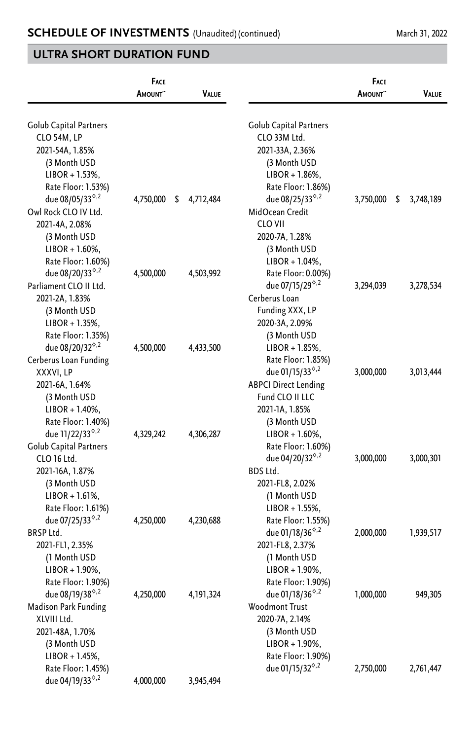|                                         | FACE<br>AMOUNT <sup>~</sup> | <b>VALUE</b>    |                                         | FACE<br>AMOUNT <sup>~</sup> | Value           |
|-----------------------------------------|-----------------------------|-----------------|-----------------------------------------|-----------------------------|-----------------|
| Golub Capital Partners                  |                             |                 | <b>Golub Capital Partners</b>           |                             |                 |
| CLO 54M, LP                             |                             |                 | CLO 33M Ltd.                            |                             |                 |
| 2021-54A, 1.85%                         |                             |                 | 2021-33A, 2.36%                         |                             |                 |
| (3 Month USD                            |                             |                 | (3 Month USD                            |                             |                 |
| $LIBOR + 1.53%$                         |                             |                 | $LIBOR + 1.86%$                         |                             |                 |
| Rate Floor: 1.53%)                      |                             |                 | Rate Floor: 1.86%)                      |                             |                 |
| due 08/05/33 <sup>6,2</sup>             | 4,750,000                   | \$<br>4,712,484 | due 08/25/33 <sup>6,2</sup>             | 3,750,000                   | \$<br>3,748,189 |
| Owl Rock CLO IV Ltd.                    |                             |                 | MidOcean Credit                         |                             |                 |
| 2021-4A, 2.08%                          |                             |                 | CLO VII                                 |                             |                 |
| (3 Month USD                            |                             |                 | 2020-7A, 1.28%                          |                             |                 |
| $LIBOR + 1.60\%,$                       |                             |                 | (3 Month USD                            |                             |                 |
| Rate Floor: 1.60%)                      |                             |                 | $LIBOR + 1.04%$ ,                       |                             |                 |
| due 08/20/33 <sup>0,2</sup>             | 4,500,000                   | 4,503,992       | Rate Floor: 0.00%)                      |                             |                 |
| Parliament CLO II Ltd.                  |                             |                 | due 07/15/29 <sup>°,2</sup>             | 3,294,039                   | 3,278,534       |
| 2021-2A, 1.83%                          |                             |                 | Cerberus Loan                           |                             |                 |
| (3 Month USD                            |                             |                 | Funding XXX, LP                         |                             |                 |
| $LIBOR + 1.35%$                         |                             |                 | 2020-3A, 2.09%                          |                             |                 |
| Rate Floor: 1.35%)                      |                             |                 | (3 Month USD                            |                             |                 |
| due 08/20/32 <sup>0,2</sup>             | 4,500,000                   | 4,433,500       | $LIBOR + 1.85%$                         |                             |                 |
| Cerberus Loan Funding                   |                             |                 | Rate Floor: 1.85%)                      |                             |                 |
| XXXVI, LP                               |                             |                 | due 01/15/33 $8,4$                      | 3,000,000                   | 3,013,444       |
| 2021-6A, 1.64%                          |                             |                 | <b>ABPCI Direct Lending</b>             |                             |                 |
| (3 Month USD                            |                             |                 | Fund CLO II LLC                         |                             |                 |
| $LIBOR + 1.40\%$ ,                      |                             |                 | 2021-1A, 1.85%                          |                             |                 |
| Rate Floor: 1.40%)                      |                             |                 | (3 Month USD                            |                             |                 |
| due 11/22/33 <sup>6,2</sup>             | 4,329,242                   | 4,306,287       | $LIBOR + 1.60\%,$                       |                             |                 |
| Golub Capital Partners                  |                             |                 | Rate Floor: 1.60%)                      |                             |                 |
| CLO 16 Ltd.                             |                             |                 | due 04/20/32 <sup>0,2</sup><br>BDS Ltd. | 3,000,000                   | 3,000,301       |
| 2021-16A, 1.87%                         |                             |                 |                                         |                             |                 |
| (3 Month USD                            |                             |                 | 2021-FL8, 2.02%                         |                             |                 |
| $LIBOR + 1.61\%,$<br>Rate Floor: 1.61%) |                             |                 | (1 Month USD<br>$LIBOR + 1.55%$         |                             |                 |
| due 07/25/33 <sup>0,2</sup>             | 4,250,000                   | 4,230,688       | Rate Floor: 1.55%)                      |                             |                 |
| <b>BRSP Ltd.</b>                        |                             |                 | due 01/18/36 <sup>6,2</sup>             | 2,000,000                   | 1,939,517       |
| 2021-FL1, 2.35%                         |                             |                 | 2021-FL8, 2.37%                         |                             |                 |
| (1 Month USD                            |                             |                 | (1 Month USD                            |                             |                 |
| $LIBOR + 1.90\%,$                       |                             |                 | $LIBOR + 1.90\%$ ,                      |                             |                 |
| Rate Floor: 1.90%)                      |                             |                 | Rate Floor: 1.90%)                      |                             |                 |
| due 08/19/38 <sup>6,2</sup>             | 4,250,000                   | 4, 191, 324     | due 01/18/36 $8,2$                      | 1,000,000                   | 949,305         |
| <b>Madison Park Funding</b>             |                             |                 | Woodmont Trust                          |                             |                 |
| XLVIII Ltd.                             |                             |                 | 2020-7A, 2.14%                          |                             |                 |
| 2021-48A, 1.70%                         |                             |                 | (3 Month USD                            |                             |                 |
| (3 Month USD                            |                             |                 | $LIBOR + 1.90\%,$                       |                             |                 |
| $LIBOR + 1.45%$                         |                             |                 | Rate Floor: 1.90%)                      |                             |                 |
| Rate Floor: 1.45%)                      |                             |                 | due 01/15/32 <sup>6,2</sup>             | 2,750,000                   | 2,761,447       |
| due 04/19/33 <sup>6,2</sup>             | 4,000,000                   | 3,945,494       |                                         |                             |                 |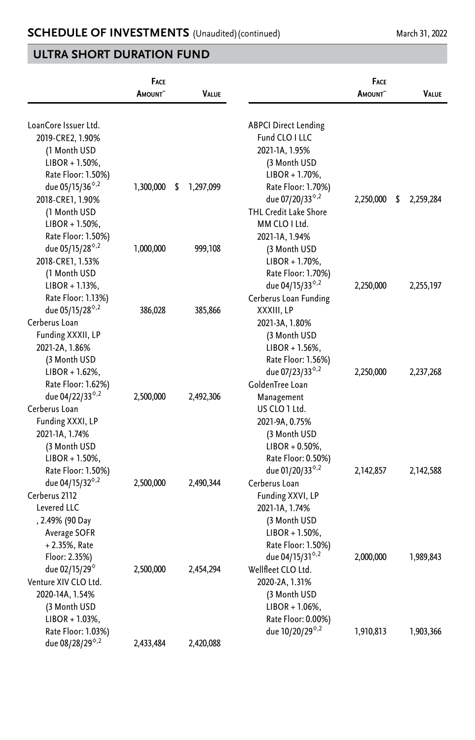|                             | FACE<br><b>A</b> MOUNT~ | <b>VALUE</b>    |                              | <b>FACE</b><br><b>A</b> mount^ | <b>VALUE</b>    |
|-----------------------------|-------------------------|-----------------|------------------------------|--------------------------------|-----------------|
| LoanCore Issuer Ltd.        |                         |                 | <b>ABPCI Direct Lending</b>  |                                |                 |
| 2019-CRE2, 1.90%            |                         |                 | Fund CLO I LLC               |                                |                 |
| (1 Month USD                |                         |                 | 2021-1A, 1.95%               |                                |                 |
| $LIBOR + 1.50\%,$           |                         |                 | (3 Month USD                 |                                |                 |
| Rate Floor: 1.50%)          |                         |                 | $LIBOR + 1.70\%$ ,           |                                |                 |
| due 05/15/36 <sup>6,2</sup> | 1,300,000               | 1,297,099<br>\$ | Rate Floor: 1.70%)           |                                |                 |
| 2018-CRE1, 1.90%            |                         |                 | due 07/20/33 <sup>6,2</sup>  | 2,250,000                      | \$<br>2,259,284 |
| (1 Month USD                |                         |                 | <b>THL Credit Lake Shore</b> |                                |                 |
| $LIBOR + 1.50\%,$           |                         |                 | MM CLO I Ltd.                |                                |                 |
| Rate Floor: 1.50%)          |                         |                 | 2021-1A, 1.94%               |                                |                 |
| due 05/15/28 <sup>6,2</sup> | 1,000,000               | 999,108         | (3 Month USD                 |                                |                 |
| 2018-CRE1, 1.53%            |                         |                 | $LIBOR + 1.70\%$             |                                |                 |
| (1 Month USD                |                         |                 | Rate Floor: 1.70%)           |                                |                 |
| $LIBOR + 1.13%$             |                         |                 | due 04/15/33 $8,2$           | 2,250,000                      | 2,255,197       |
| Rate Floor: 1.13%)          |                         |                 | Cerberus Loan Funding        |                                |                 |
| due 05/15/28 <sup>6,2</sup> | 386,028                 | 385,866         | XXXIII, LP                   |                                |                 |
| Cerberus Loan               |                         |                 | 2021-3A, 1.80%               |                                |                 |
| Funding XXXII, LP           |                         |                 | (3 Month USD                 |                                |                 |
| 2021-2A, 1.86%              |                         |                 | $LIBOR + 1.56%$ ,            |                                |                 |
| (3 Month USD                |                         |                 | Rate Floor: 1.56%)           |                                |                 |
| $LIBOR + 1.62%$             |                         |                 | due 07/23/33 <sup>6,2</sup>  | 2,250,000                      | 2,237,268       |
| Rate Floor: 1.62%)          |                         |                 | GoldenTree Loan              |                                |                 |
| due 04/22/33 <sup>6,2</sup> | 2,500,000               | 2,492,306       | Management                   |                                |                 |
| Cerberus Loan               |                         |                 | US CLO 1 Ltd.                |                                |                 |
| Funding XXXI, LP            |                         |                 | 2021-9A, 0.75%               |                                |                 |
| 2021-1A, 1.74%              |                         |                 | (3 Month USD                 |                                |                 |
| (3 Month USD                |                         |                 | $LIBOR + 0.50\%$             |                                |                 |
| $LIBOR + 1.50\%,$           |                         |                 | Rate Floor: 0.50%)           |                                |                 |
| Rate Floor: 1.50%)          |                         |                 | due 01/20/33 $8,2$           | 2,142,857                      | 2,142,588       |
| due 04/15/32 <sup>6,2</sup> | 2,500,000               | 2,490,344       | Cerberus Loan                |                                |                 |
| Cerberus 2112               |                         |                 | Funding XXVI, LP             |                                |                 |
| Levered LLC                 |                         |                 | 2021-1A, 1.74%               |                                |                 |
| , 2.49% (90 Day             |                         |                 | (3 Month USD                 |                                |                 |
| Average SOFR                |                         |                 | $LIBOR + 1.50\%$ ,           |                                |                 |
| $+2.35%$ , Rate             |                         |                 | Rate Floor: 1.50%)           |                                |                 |
| Floor: 2.35%)               |                         |                 | due 04/15/31 $8,2$           | 2,000,000                      | 1,989,843       |
| due 02/15/29 <sup>°</sup>   | 2,500,000               | 2,454,294       | Wellfleet CLO Ltd.           |                                |                 |
| Venture XIV CLO Ltd.        |                         |                 | 2020-2A, 1.31%               |                                |                 |
| 2020-14A, 1.54%             |                         |                 | (3 Month USD                 |                                |                 |
| (3 Month USD                |                         |                 | $LIBOR + 1.06\%,$            |                                |                 |
| $LIBOR + 1.03%$             |                         |                 | Rate Floor: 0.00%)           |                                |                 |
| Rate Floor: 1.03%)          |                         |                 | due 10/20/29 <sup>6,2</sup>  | 1,910,813                      | 1,903,366       |
| due 08/28/29 <sup>6,2</sup> | 2.433.484               | 2,420,088       |                              |                                |                 |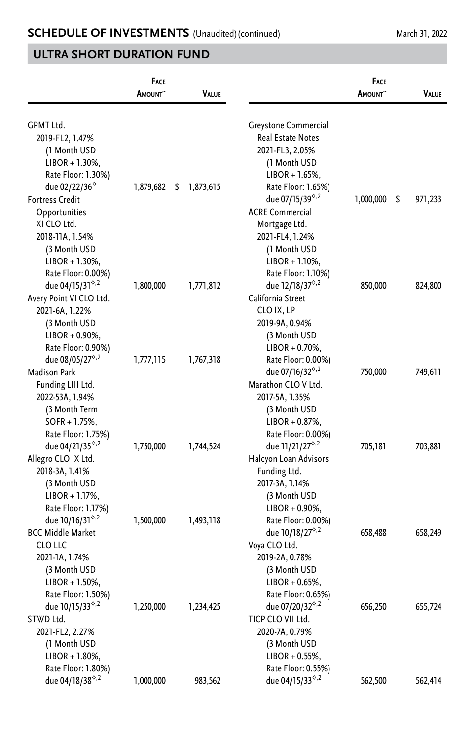|                                                   | <b>FACE</b><br>AMOUNT <sup>~</sup> | VALUE           |                                                   | <b>FACE</b><br>AMOUNT <sup>^</sup> | VALUE         |
|---------------------------------------------------|------------------------------------|-----------------|---------------------------------------------------|------------------------------------|---------------|
| <b>GPMT Ltd.</b>                                  |                                    |                 | Greystone Commercial                              |                                    |               |
| 2019-FL2, 1.47%                                   |                                    |                 | <b>Real Estate Notes</b>                          |                                    |               |
| (1 Month USD                                      |                                    |                 | 2021-FL3, 2.05%                                   |                                    |               |
| $LIBOR + 1.30\%,$                                 |                                    |                 | (1 Month USD                                      |                                    |               |
| Rate Floor: 1.30%)                                |                                    |                 | $LIBOR + 1.65%$                                   |                                    |               |
| due 02/22/36 <sup>°</sup>                         | 1,879,682                          | \$<br>1,873,615 | Rate Floor: 1.65%)                                |                                    |               |
| <b>Fortress Credit</b>                            |                                    |                 | due 07/15/39 <sup>6,2</sup>                       | 1,000,000                          | \$<br>971,233 |
| Opportunities                                     |                                    |                 | <b>ACRE Commercial</b>                            |                                    |               |
| XI CLO Ltd.                                       |                                    |                 | Mortgage Ltd.                                     |                                    |               |
| 2018-11A, 1.54%                                   |                                    |                 | 2021-FL4, 1.24%                                   |                                    |               |
| (3 Month USD                                      |                                    |                 | (1 Month USD                                      |                                    |               |
| $LIBOR + 1.30\%,$                                 |                                    |                 | $LIBOR + 1.10%$<br>Rate Floor: 1.10%)             |                                    |               |
| Rate Floor: 0.00%)<br>due 04/15/31 <sup>6,2</sup> | 1,800,000                          | 1,771,812       | due 12/18/37 <sup>6,2</sup>                       | 850,000                            | 824,800       |
| Avery Point VI CLO Ltd.                           |                                    |                 | California Street                                 |                                    |               |
| 2021-6A, 1.22%                                    |                                    |                 | CLO IX, LP                                        |                                    |               |
| (3 Month USD                                      |                                    |                 | 2019-9A, 0.94%                                    |                                    |               |
| $LIBOR + 0.90\%$ ,                                |                                    |                 | (3 Month USD                                      |                                    |               |
| Rate Floor: 0.90%)                                |                                    |                 | $LIBOR + 0.70\%$ ,                                |                                    |               |
| due 08/05/27 <sup>°,2</sup>                       | 1,777,115                          | 1,767,318       | Rate Floor: 0.00%)                                |                                    |               |
| <b>Madison Park</b>                               |                                    |                 | due 07/16/32 <sup><math>\circ</math>,2</sup>      | 750,000                            | 749,611       |
| Funding LIII Ltd.                                 |                                    |                 | Marathon CLO V Ltd.                               |                                    |               |
| 2022-53A, 1.94%                                   |                                    |                 | 2017-5A, 1.35%                                    |                                    |               |
| (3 Month Term                                     |                                    |                 | (3 Month USD                                      |                                    |               |
| $SOFR + 1.75%$                                    |                                    |                 | $LIBOR + 0.87\%,$                                 |                                    |               |
| Rate Floor: 1.75%)                                |                                    |                 | Rate Floor: 0.00%)                                |                                    |               |
| due 04/21/35 <sup>6,2</sup>                       | 1,750,000                          | 1,744,524       | due 11/21/27 <sup>6,2</sup>                       | 705,181                            | 703,881       |
| Allegro CLO IX Ltd.                               |                                    |                 | Halcyon Loan Advisors                             |                                    |               |
| 2018-3A, 1.41%                                    |                                    |                 | Funding Ltd.                                      |                                    |               |
| (3 Month USD                                      |                                    |                 | 2017-3A, 1.14%                                    |                                    |               |
| $LIBOR + 1.17%$                                   |                                    |                 | (3 Month USD                                      |                                    |               |
| Rate Floor: 1.17%)                                |                                    |                 | $LIBOR + 0.90\%$                                  |                                    |               |
| due 10/16/31 <sup>9,2</sup>                       | 1,500,000                          | 1,493,118       | Rate Floor: 0.00%)                                |                                    |               |
| <b>BCC Middle Market</b>                          |                                    |                 | due $10/18/27^{\circ.2}$                          | 658,488                            | 658,249       |
| CLO LLC                                           |                                    |                 | Voya CLO Ltd.                                     |                                    |               |
| 2021-1A, 1.74%                                    |                                    |                 | 2019-2A, 0.78%                                    |                                    |               |
| (3 Month USD                                      |                                    |                 | (3 Month USD                                      |                                    |               |
| $LIBOR + 1.50\%,$                                 |                                    |                 | $LIBOR + 0.65%$ ,                                 |                                    |               |
| Rate Floor: 1.50%)                                |                                    |                 | Rate Floor: 0.65%)                                |                                    |               |
| due 10/15/33 <sup>6,2</sup>                       | 1,250,000                          | 1,234,425       | due 07/20/32 <sup>0,2</sup>                       | 656,250                            | 655,724       |
| STWD Ltd.                                         |                                    |                 | TICP CLO VII Ltd.                                 |                                    |               |
| 2021-FL2, 2.27%                                   |                                    |                 | 2020-7A, 0.79%                                    |                                    |               |
| (1 Month USD                                      |                                    |                 | (3 Month USD                                      |                                    |               |
| $LIBOR + 1.80\%$ ,                                |                                    |                 | $LIBOR + 0.55%$                                   |                                    |               |
| Rate Floor: 1.80%)<br>due 04/18/38 <sup>6,2</sup> | 1,000,000                          | 983,562         | Rate Floor: 0.55%)<br>due 04/15/33 <sup>6,2</sup> | 562,500                            | 562,414       |
|                                                   |                                    |                 |                                                   |                                    |               |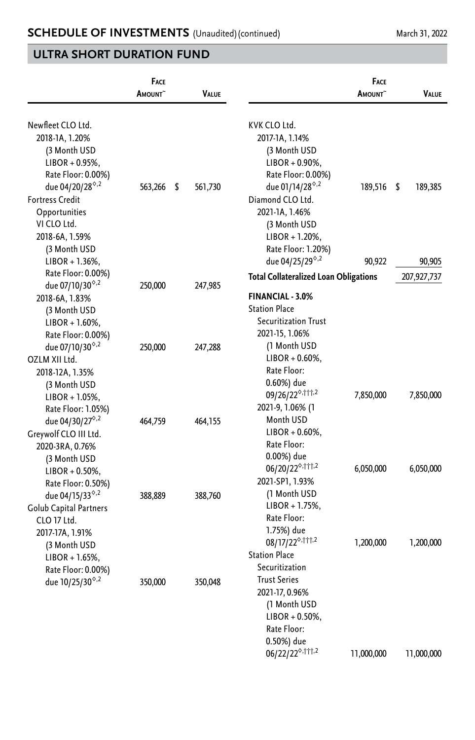|                             | <b>FACE</b><br><b>AMOUNT</b> | VALUE         |                                              | FACE<br><b>A</b> MOUNT | Value         |
|-----------------------------|------------------------------|---------------|----------------------------------------------|------------------------|---------------|
| Newfleet CLO Ltd.           |                              |               | KVK CLO Ltd.                                 |                        |               |
| 2018-1A, 1.20%              |                              |               | 2017-1A, 1.14%                               |                        |               |
| (3 Month USD                |                              |               | (3 Month USD                                 |                        |               |
| LIBOR + 0.95%,              |                              |               | $LIBOR + 0.90\%,$                            |                        |               |
| Rate Floor: 0.00%)          |                              |               | Rate Floor: 0.00%)                           |                        |               |
| due 04/20/28 <sup>6,2</sup> | 563,266                      | \$<br>561,730 | due 01/14/28 <sup>6,2</sup>                  | 189,516                | \$<br>189,385 |
| <b>Fortress Credit</b>      |                              |               | Diamond CLO Ltd.                             |                        |               |
| Opportunities               |                              |               | 2021-1A, 1.46%                               |                        |               |
| VI CLO Ltd.                 |                              |               | (3 Month USD                                 |                        |               |
| 2018-6A, 1.59%              |                              |               | $LIBOR + 1.20\%$ ,                           |                        |               |
| (3 Month USD                |                              |               | Rate Floor: 1.20%)                           |                        |               |
| $LIBOR + 1.36\%,$           |                              |               | due 04/25/29 <sup>6,2</sup>                  | 90,922                 | 90,905        |
| Rate Floor: 0.00%)          |                              |               | <b>Total Collateralized Loan Obligations</b> |                        | 207,927,737   |
| due 07/10/30 <sup>6,2</sup> | 250,000                      | 247,985       |                                              |                        |               |
| 2018-6A, 1.83%              |                              |               | <b>FINANCIAL - 3.0%</b>                      |                        |               |
| (3 Month USD                |                              |               | <b>Station Place</b>                         |                        |               |
| $LIBOR + 1.60\%,$           |                              |               | <b>Securitization Trust</b>                  |                        |               |
| Rate Floor: 0.00%)          |                              |               | 2021-15, 1.06%                               |                        |               |
| due 07/10/30 <sup>6,2</sup> | 250,000                      | 247,288       | (1 Month USD                                 |                        |               |
| OZLM XII Ltd.               |                              |               | $LIBOR + 0.60\%,$                            |                        |               |
| 2018-12A, 1.35%             |                              |               | Rate Floor:                                  |                        |               |
| (3 Month USD                |                              |               | 0.60%) due                                   |                        |               |
| LIBOR + 1.05%,              |                              |               | 09/26/22 <sup>0,†††,2</sup>                  | 7,850,000              | 7,850,000     |
| Rate Floor: 1.05%)          |                              |               | 2021-9, 1.06% (1                             |                        |               |
| due 04/30/27 <sup>6,2</sup> | 464,759                      | 464,155       | Month USD                                    |                        |               |
| Greywolf CLO III Ltd.       |                              |               | $LIBOR + 0.60\%$                             |                        |               |
| 2020-3RA, 0.76%             |                              |               | Rate Floor:                                  |                        |               |
| (3 Month USD                |                              |               | 0.00%) due                                   |                        |               |
| LIBOR + 0.50%,              |                              |               | 06/20/22 <sup>0,†††,2</sup>                  | 6,050,000              | 6,050,000     |
| Rate Floor: 0.50%)          |                              |               | 2021-SP1, 1.93%                              |                        |               |
| due 04/15/33 <sup>6,2</sup> | 388,889                      | 388,760       | (1 Month USD                                 |                        |               |
| Golub Capital Partners      |                              |               | $LIBOR + 1.75%$                              |                        |               |
| CLO 17 Ltd.                 |                              |               | Rate Floor:                                  |                        |               |
| 2017-17A, 1.91%             |                              |               | 1.75%) due                                   |                        |               |
| (3 Month USD                |                              |               | 08/17/22 <sup>0,†††,2</sup>                  | 1,200,000              | 1,200,000     |
| $LIBOR + 1.65%$             |                              |               | <b>Station Place</b>                         |                        |               |
| Rate Floor: 0.00%)          |                              |               | Securitization                               |                        |               |
| due 10/25/30 <sup>6,2</sup> | 350,000                      | 350,048       | <b>Trust Series</b>                          |                        |               |
|                             |                              |               | 2021-17, 0.96%                               |                        |               |
|                             |                              |               | (1 Month USD                                 |                        |               |
|                             |                              |               | $LIBOR + 0.50\%$                             |                        |               |
|                             |                              |               | Rate Floor:                                  |                        |               |
|                             |                              |               | 0.50%) due                                   |                        |               |
|                             |                              |               | 06/22/22 <sup>0,†††,2</sup>                  | 11,000,000             | 11,000,000    |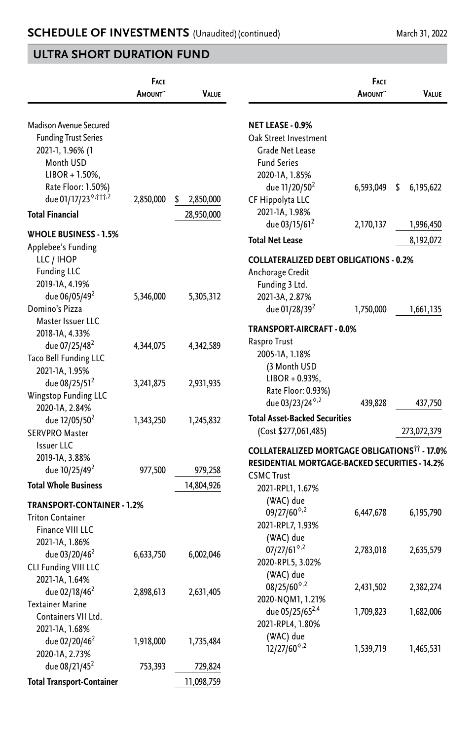|                                                                           | FACE<br>AMOUNT <sup>~</sup> | <b>VALUE</b>    |                                                                 | FACE<br>AMOUNT <sup>~</sup> | VALUE           |
|---------------------------------------------------------------------------|-----------------------------|-----------------|-----------------------------------------------------------------|-----------------------------|-----------------|
| Madison Avenue Secured                                                    |                             |                 | NET LEASE - 0.9%                                                |                             |                 |
| <b>Funding Trust Series</b><br>2021-1, 1.96% (1<br>Month USD              |                             |                 | Oak Street Investment<br>Grade Net Lease<br><b>Fund Series</b>  |                             |                 |
| $LIBOR + 1.50\%$<br>Rate Floor: 1.50%)<br>due 01/17/23 <sup>0,†††,2</sup> | 2,850,000                   | \$<br>2,850,000 | 2020-1A, 1.85%<br>due 11/20/50 <sup>2</sup><br>CF Hippolyta LLC | 6,593,049                   | 6,195,622<br>\$ |
| <b>Total Financial</b>                                                    |                             | 28,950,000      | 2021-1A, 1.98%<br>due 03/15/61 <sup>2</sup>                     | 2,170,137                   | 1,996,450       |
| <b>WHOLE BUSINESS - 1.5%</b>                                              |                             |                 | <b>Total Net Lease</b>                                          |                             | 8,192,072       |
| Applebee's Funding                                                        |                             |                 |                                                                 |                             |                 |
| LLC / IHOP<br><b>Funding LLC</b>                                          |                             |                 | <b>COLLATERALIZED DEBT OBLIGATIONS - 0.2%</b>                   |                             |                 |
| 2019-1A, 4.19%                                                            |                             |                 | Anchorage Credit<br>Funding 3 Ltd.                              |                             |                 |
| due 06/05/49 <sup>2</sup>                                                 | 5,346,000                   | 5,305,312       | 2021-3A, 2.87%                                                  |                             |                 |
| Domino's Pizza                                                            |                             |                 | due 01/28/39 <sup>2</sup>                                       | 1,750,000                   | 1,661,135       |
| Master Issuer LLC                                                         |                             |                 |                                                                 |                             |                 |
| 2018-1A, 4.33%                                                            |                             |                 | <b>TRANSPORT-AIRCRAFT - 0.0%</b>                                |                             |                 |
| due 07/25/48 <sup>2</sup>                                                 | 4,344,075                   | 4,342,589       | Raspro Trust                                                    |                             |                 |
| Taco Bell Funding LLC                                                     |                             |                 | 2005-1A, 1.18%                                                  |                             |                 |
| 2021-1A, 1.95%                                                            |                             |                 | (3 Month USD<br>$LIBOR + 0.93\%,$                               |                             |                 |
| due 08/25/51 <sup>2</sup>                                                 | 3,241,875                   | 2,931,935       | Rate Floor: 0.93%)                                              |                             |                 |
| Wingstop Funding LLC                                                      |                             |                 | due 03/23/24 $8,2$                                              | 439,828                     | 437,750         |
| 2020-1A, 2.84%                                                            |                             |                 | <b>Total Asset-Backed Securities</b>                            |                             |                 |
| due 12/05/50 <sup>2</sup>                                                 | 1,343,250                   | 1,245,832       | (Cost \$277,061,485)                                            |                             | 273,072,379     |
| <b>SERVPRO Master</b><br><b>Issuer LLC</b>                                |                             |                 |                                                                 |                             |                 |
| 2019-1A, 3.88%                                                            |                             |                 | <b>COLLATERALIZED MORTGAGE OBLIGATIONS*** - 17.0%</b>           |                             |                 |
| due 10/25/49 <sup>2</sup>                                                 | 977,500                     | 979,258         | RESIDENTIAL MORTGAGE-BACKED SECURITIES - 14.2%                  |                             |                 |
| <b>Total Whole Business</b>                                               |                             | 14,804,926      | <b>CSMC Trust</b><br>2021-RPL1, 1.67%                           |                             |                 |
| TRANSPORT-CONTAINER - 1.2%                                                |                             |                 | (WAC) due                                                       |                             |                 |
| <b>Triton Container</b>                                                   |                             |                 | $09/27/60$ <sup><math>\diamond</math>,2</sup>                   | 6,447,678                   | 6,195,790       |
| Finance VIII LLC                                                          |                             |                 | 2021-RPL7, 1.93%                                                |                             |                 |
| 2021-1A, 1.86%                                                            |                             |                 | (WAC) due                                                       |                             |                 |
| due 03/20/46 <sup>2</sup>                                                 | 6,633,750                   | 6,002,046       | $07/27/61^{\circ.2}$                                            | 2,783,018                   | 2,635,579       |
| CLI Funding VIII LLC                                                      |                             |                 | 2020-RPL5, 3.02%                                                |                             |                 |
| 2021-1A, 1.64%                                                            |                             |                 | (WAC) due<br>$08/25/60^{\circ.2}$                               | 2,431,502                   | 2,382,274       |
| due 02/18/46 <sup>2</sup>                                                 | 2,898,613                   | 2,631,405       | 2020-NQM1, 1.21%                                                |                             |                 |
| <b>Textainer Marine</b>                                                   |                             |                 | due 05/25/65 <sup>2,4</sup>                                     | 1,709,823                   | 1,682,006       |
| Containers VII Ltd.                                                       |                             |                 | 2021-RPL4, 1.80%                                                |                             |                 |
| 2021-1A, 1.68%                                                            |                             |                 | (WAC) due                                                       |                             |                 |
| due 02/20/46 <sup>2</sup>                                                 | 1,918,000                   | 1,735,484       | $12/27/60^{\circ.2}$                                            | 1,539,719                   | 1,465,531       |
| 2020-1A, 2.73%<br>due 08/21/45 <sup>2</sup>                               | 753,393                     | 729,824         |                                                                 |                             |                 |
|                                                                           |                             |                 |                                                                 |                             |                 |
| <b>Total Transport-Container</b>                                          |                             | 11,098,759      |                                                                 |                             |                 |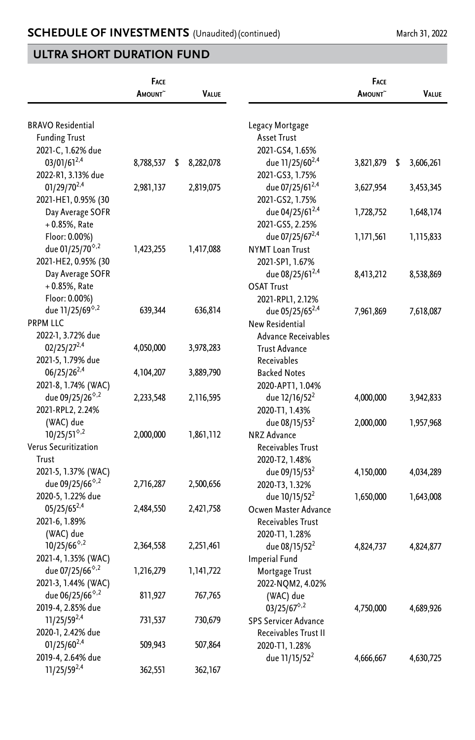|                                                 | FACE<br>AMOUNT~ | VALUE           |                             | <b>FACE</b><br>AMOUNT~ | Value           |
|-------------------------------------------------|-----------------|-----------------|-----------------------------|------------------------|-----------------|
|                                                 |                 |                 |                             |                        |                 |
| <b>BRAVO Residential</b>                        |                 |                 | Legacy Mortgage             |                        |                 |
| <b>Funding Trust</b>                            |                 |                 | <b>Asset Trust</b>          |                        |                 |
| 2021-C, 1.62% due                               |                 |                 | 2021-GS4, 1.65%             |                        |                 |
| 03/01/612,4                                     | 8,788,537       | 8,282,078<br>\$ | due 11/25/60 <sup>2,4</sup> | 3,821,879              | \$<br>3,606,261 |
| 2022-R1, 3.13% due                              |                 |                 | 2021-GS3, 1.75%             |                        |                 |
| 01/29/70 <sup>2,4</sup>                         | 2,981,137       | 2,819,075       | due 07/25/61 <sup>2,4</sup> | 3,627,954              | 3,453,345       |
| 2021-HE1, 0.95% (30                             |                 |                 | 2021-GS2, 1.75%             |                        |                 |
| Day Average SOFR                                |                 |                 | due 04/25/61 <sup>2,4</sup> | 1,728,752              | 1,648,174       |
| $+0.85%$ , Rate                                 |                 |                 | 2021-GS5, 2.25%             |                        |                 |
| Floor: 0.00%)                                   |                 |                 | due 07/25/67 <sup>2,4</sup> | 1,171,561              | 1,115,833       |
| due 01/25/70 <sup><math>\diamond</math>,2</sup> | 1,423,255       | 1,417,088       | <b>NYMT Loan Trust</b>      |                        |                 |
| 2021-HE2, 0.95% (30                             |                 |                 | 2021-SP1, 1.67%             |                        |                 |
| Day Average SOFR                                |                 |                 | due 08/25/61 <sup>2,4</sup> | 8,413,212              | 8,538,869       |
| $+0.85%$ , Rate                                 |                 |                 | <b>OSAT Trust</b>           |                        |                 |
| Floor: 0.00%)                                   |                 |                 | 2021-RPL1, 2.12%            |                        |                 |
| due 11/25/69 <sup>6,2</sup>                     | 639,344         | 636,814         | due 05/25/65 <sup>2,4</sup> | 7,961,869              | 7,618,087       |
| <b>PRPM LLC</b>                                 |                 |                 | New Residential             |                        |                 |
| 2022-1, 3.72% due                               |                 |                 | Advance Receivables         |                        |                 |
| $02/25/27^{2,4}$                                | 4,050,000       | 3,978,283       | <b>Trust Advance</b>        |                        |                 |
| 2021-5, 1.79% due                               |                 |                 | Receivables                 |                        |                 |
| $06/25/26^{2,4}$                                | 4, 104, 207     | 3,889,790       | <b>Backed Notes</b>         |                        |                 |
| 2021-8, 1.74% (WAC)                             |                 |                 | 2020-APT1, 1.04%            |                        |                 |
| due 09/25/26 <sup>6,2</sup>                     | 2,233,548       | 2,116,595       | due 12/16/52 <sup>2</sup>   | 4,000,000              | 3,942,833       |
| 2021-RPL2, 2.24%                                |                 |                 | 2020-T1, 1.43%              |                        |                 |
| (WAC) due                                       |                 |                 | due 08/15/53 <sup>2</sup>   | 2,000,000              | 1,957,968       |
| $10/25/51^{\circ.2}$                            | 2,000,000       | 1,861,112       | NRZ Advance                 |                        |                 |
| Verus Securitization                            |                 |                 | Receivables Trust           |                        |                 |
| Trust                                           |                 |                 | 2020-T2, 1.48%              |                        |                 |
| 2021-5, 1.37% (WAC)                             |                 |                 | due 09/15/53 <sup>2</sup>   | 4,150,000              | 4,034,289       |
| due 09/25/66 <sup><math>\diamond</math>,2</sup> | 2,716,287       | 2,500,656       | 2020-T3, 1.32%              |                        |                 |
| 2020-5, 1.22% due                               |                 |                 | due 10/15/52 <sup>2</sup>   | 1,650,000              | 1,643,008       |
| $05/25/65^{2,4}$                                | 2,484,550       | 2,421,758       | Ocwen Master Advance        |                        |                 |
| 2021-6, 1.89%                                   |                 |                 | Receivables Trust           |                        |                 |
| (WAC) due                                       |                 |                 | 2020-T1, 1.28%              |                        |                 |
| $10/25/66^{\circ.2}$                            | 2,364,558       | 2,251,461       | due 08/15/52 <sup>2</sup>   | 4,824,737              | 4,824,877       |
| 2021-4, 1.35% (WAC)                             |                 |                 | <b>Imperial Fund</b>        |                        |                 |
| due 07/25/66 <sup>6,2</sup>                     | 1,216,279       | 1,141,722       | Mortgage Trust              |                        |                 |
| 2021-3, 1.44% (WAC)                             |                 |                 | 2022-NQM2, 4.02%            |                        |                 |
| due 06/25/66 <sup><math>\diamond</math>,2</sup> | 811,927         | 767,765         | (WAC) due                   |                        |                 |
| 2019-4, 2.85% due                               |                 |                 | $03/25/67^{\diamond,2}$     | 4,750,000              | 4,689,926       |
| $11/25/59^{2,4}$                                | 731,537         | 730,679         | <b>SPS Servicer Advance</b> |                        |                 |
| 2020-1, 2.42% due                               |                 |                 | Receivables Trust II        |                        |                 |
| $01/25/60^{2,4}$                                | 509,943         | 507,864         |                             |                        |                 |
| 2019-4, 2.64% due                               |                 |                 | 2020-T1, 1.28%              |                        |                 |
| 11/25/592,4                                     | 362,551         | 362,167         | due 11/15/52 <sup>2</sup>   | 4,666,667              | 4,630,725       |
|                                                 |                 |                 |                             |                        |                 |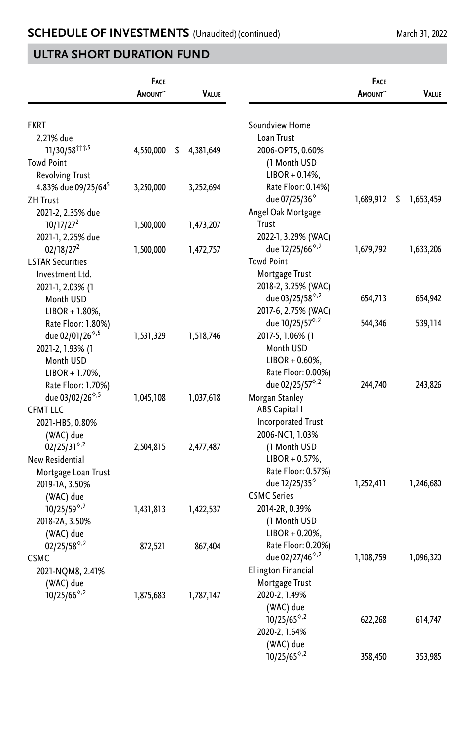|                                             | <b>FACE</b><br>AMOUNT <sup>~</sup> | VALUE           |                                                 | <b>FACE</b><br><b>AMOUNT</b> | VALUE           |
|---------------------------------------------|------------------------------------|-----------------|-------------------------------------------------|------------------------------|-----------------|
|                                             |                                    |                 |                                                 |                              |                 |
| <b>FKRT</b>                                 |                                    |                 | Soundview Home                                  |                              |                 |
| 2.21% due                                   |                                    |                 | Loan Trust                                      |                              |                 |
| 11/30/58 11,5                               | 4,550,000                          | \$<br>4,381,649 | 2006-OPT5, 0.60%                                |                              |                 |
| <b>Towd Point</b>                           |                                    |                 | (1 Month USD                                    |                              |                 |
| <b>Revolving Trust</b>                      |                                    |                 | $LIBOR + 0.14\%,$                               |                              |                 |
| 4.83% due 09/25/64 <sup>5</sup>             | 3,250,000                          | 3,252,694       | Rate Floor: 0.14%)                              |                              |                 |
| <b>ZH Trust</b>                             |                                    |                 | due 07/25/36 <sup>°</sup>                       | 1,689,912                    | \$<br>1,653,459 |
| 2021-2, 2.35% due                           |                                    |                 | Angel Oak Mortgage                              |                              |                 |
| 10/17/27 <sup>2</sup>                       | 1,500,000                          | 1,473,207       | Trust                                           |                              |                 |
| 2021-1, 2.25% due                           |                                    |                 | 2022-1, 3.29% (WAC)                             |                              |                 |
| 02/18/27 <sup>2</sup>                       | 1,500,000                          | 1,472,757       | due 12/25/66 <sup>6,2</sup>                     | 1,679,792                    | 1,633,206       |
| <b>LSTAR Securities</b>                     |                                    |                 | <b>Towd Point</b>                               |                              |                 |
| Investment Ltd.                             |                                    |                 | Mortgage Trust                                  |                              |                 |
| 2021-1, 2.03% (1                            |                                    |                 | 2018-2, 3.25% (WAC)                             |                              |                 |
| Month USD                                   |                                    |                 | due 03/25/58 <sup>6,2</sup>                     | 654,713                      | 654,942         |
| $LIBOR + 1.80\%$                            |                                    |                 | 2017-6, 2.75% (WAC)                             |                              |                 |
| Rate Floor: 1.80%)                          |                                    |                 | due 10/25/57 <sup>°,2</sup>                     | 544,346                      | 539,114         |
| due 02/01/26 <sup>0,5</sup>                 | 1,531,329                          | 1,518,746       | 2017-5, 1.06% (1                                |                              |                 |
| 2021-2, 1.93% (1                            |                                    |                 | Month USD                                       |                              |                 |
| Month USD                                   |                                    |                 | $LIBOR + 0.60\%$                                |                              |                 |
| $LIBOR + 1.70\%$ ,                          |                                    |                 | Rate Floor: 0.00%)                              |                              |                 |
| Rate Floor: 1.70%)                          |                                    |                 | due 02/25/57 <sup>°,2</sup>                     | 244,740                      | 243,826         |
| due 03/02/26 <sup>6,5</sup>                 | 1,045,108                          | 1,037,618       | Morgan Stanley                                  |                              |                 |
| <b>CFMT LLC</b>                             |                                    |                 | ABS Capital I                                   |                              |                 |
| 2021-HB5, 0.80%                             |                                    |                 | <b>Incorporated Trust</b>                       |                              |                 |
| (WAC) due                                   |                                    |                 | 2006-NC1, 1.03%                                 |                              |                 |
| $02/25/31^{\circ.2}$                        | 2,504,815                          | 2,477,487       | (1 Month USD                                    |                              |                 |
| New Residential                             |                                    |                 | $LIBOR + 0.57\%,$                               |                              |                 |
| Mortgage Loan Trust                         |                                    |                 | Rate Floor: 0.57%)                              |                              |                 |
| 2019-1A, 3.50%                              |                                    |                 | due 12/25/35 <sup>°</sup>                       | 1,252,411                    | 1,246,680       |
| (WAC) due                                   |                                    |                 | <b>CSMC Series</b>                              |                              |                 |
| $10/25/59^{\circ.2}$                        | 1,431,813                          | 1,422,537       | 2014-2R, 0.39%                                  |                              |                 |
| 2018-2A, 3.50%                              |                                    |                 | (1 Month USD                                    |                              |                 |
| (WAC) due                                   |                                    |                 | $LIBOR + 0.20\%,$                               |                              |                 |
| $02/25/58^{\circ.2}$                        | 872,521                            | 867,404         | Rate Floor: 0.20%)                              |                              |                 |
| <b>CSMC</b>                                 |                                    |                 | due 02/27/46 <sup><math>\diamond</math>,2</sup> | 1,108,759                    | 1,096,320       |
| 2021-NQM8, 2.41%                            |                                    |                 | <b>Ellington Financial</b>                      |                              |                 |
| (WAC) due                                   |                                    |                 | Mortgage Trust                                  |                              |                 |
| 10/25/66 <sup><math>\diamond</math>,2</sup> | 1,875,683                          | 1,787,147       | 2020-2, 1.49%                                   |                              |                 |
|                                             |                                    |                 | (WAC) due                                       |                              |                 |
|                                             |                                    |                 | $10/25/65^{\circ.2}$                            | 622,268                      | 614,747         |
|                                             |                                    |                 | 2020-2, 1.64%                                   |                              |                 |
|                                             |                                    |                 |                                                 |                              |                 |
|                                             |                                    |                 | (WAC) due<br>$10/25/65^{\circ.2}$               |                              |                 |
|                                             |                                    |                 |                                                 | 358,450                      | 353,985         |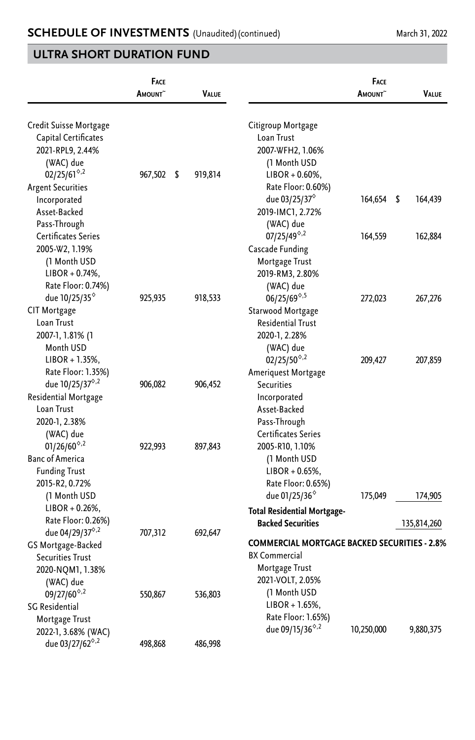|                                                                                                                                                     | <b>FACE</b><br><b>A</b> MOUNT | <b>VALUE</b>  |                                                                                                                                            | FACE<br><b>A</b> mount^ | <b>VALUE</b>   |
|-----------------------------------------------------------------------------------------------------------------------------------------------------|-------------------------------|---------------|--------------------------------------------------------------------------------------------------------------------------------------------|-------------------------|----------------|
| Credit Suisse Mortgage<br>Capital Certificates<br>2021-RPL9, 2.44%<br>(WAC) due<br>$02/25/61^{\circ.2}$<br><b>Argent Securities</b><br>Incorporated | 967,502                       | \$<br>919,814 | Citigroup Mortgage<br>Loan Trust<br>2007-WFH2, 1.06%<br>(1 Month USD<br>$LIBOR + 0.60\%,$<br>Rate Floor: 0.60%)<br>due 03/25/37 $^{\circ}$ | 164,654                 | -\$<br>164,439 |
| Asset-Backed<br>Pass-Through<br>Certificates Series<br>2005-W2, 1.19%                                                                               |                               |               | 2019-IMC1, 2.72%<br>(WAC) due<br>$07/25/49^{\circ.2}$<br>Cascade Funding                                                                   | 164,559                 | 162,884        |
| (1 Month USD<br>$LIBOR + 0.74%$ ,<br>Rate Floor: 0.74%)<br>due 10/25/35 <sup>°</sup>                                                                | 925,935                       | 918,533       | Mortgage Trust<br>2019-RM3, 2.80%<br>(WAC) due<br>$06/25/69^{\diamond,5}$                                                                  | 272,023                 | 267,276        |
| <b>CIT Mortgage</b><br>Loan Trust<br>2007-1, 1.81% (1<br>Month USD<br>$LIBOR + 1.35%$ ,                                                             |                               |               | Starwood Mortgage<br><b>Residential Trust</b><br>2020-1, 2.28%<br>(WAC) due<br>$02/25/50^{\circ.2}$                                        |                         | 207,859        |
| Rate Floor: 1.35%)<br>due 10/25/37 <sup>6,2</sup><br>Residential Mortgage<br>Loan Trust                                                             | 906,082                       | 906,452       | Ameriquest Mortgage<br>Securities<br>Incorporated<br>Asset-Backed                                                                          | 209,427                 |                |
| 2020-1, 2.38%<br>(WAC) due<br>$01/26/60^{\circ.2}$<br><b>Banc of America</b><br><b>Funding Trust</b>                                                | 922,993                       | 897,843       | Pass-Through<br>Certificates Series<br>2005-R10, 1.10%<br>(1 Month USD<br>$LIBOR + 0.65\%$                                                 |                         |                |
| 2015-R2, 0.72%<br>(1 Month USD<br>$LIBOR + 0.26\%,$<br>Rate Floor: 0.26%)                                                                           |                               |               | Rate Floor: 0.65%)<br>due 01/25/36 <sup>%</sup><br><b>Total Residential Mortgage-</b>                                                      | 175,049                 | 174,905        |
| due 04/29/37 <sup>6,2</sup><br>GS Mortgage-Backed<br><b>Securities Trust</b><br>2020-NQM1, 1.38%                                                    | 707,312                       | 692,647       | <b>Backed Securities</b><br><b>COMMERCIAL MORTGAGE BACKED SECURITIES - 2.8%</b><br><b>BX</b> Commercial<br>Mortgage Trust                  |                         | 135,814,260    |
| (WAC) due<br>$09/27/60^{\circ.2}$<br>SG Residential<br>Mortgage Trust                                                                               | 550,867                       | 536,803       | 2021-VOLT, 2.05%<br>(1 Month USD<br>$LIBOR + 1.65%$<br>Rate Floor: 1.65%)<br>due 09/15/36 <sup><math>\diamond</math>,2</sup>               | 10,250,000              | 9,880,375      |
| 2022-1, 3.68% (WAC)<br>due 03/27/62 <sup>6,2</sup>                                                                                                  | 498,868                       | 486,998       |                                                                                                                                            |                         |                |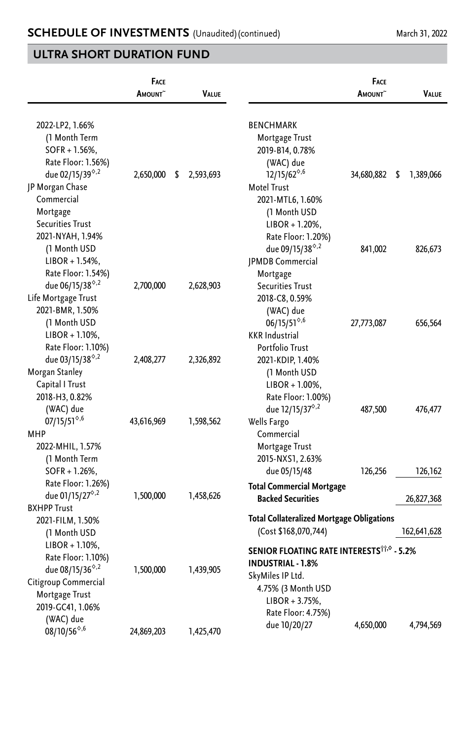|                                                                                                                                                                          | <b>FACE</b><br><b>A</b> MOUNT | <b>VALUE</b>    |                                                                                                                                                                               | <b>FACE</b><br><b>A</b> mount^ | <b>VALUE</b>    |
|--------------------------------------------------------------------------------------------------------------------------------------------------------------------------|-------------------------------|-----------------|-------------------------------------------------------------------------------------------------------------------------------------------------------------------------------|--------------------------------|-----------------|
| 2022-LP2, 1.66%<br>(1 Month Term<br>$SOFR + 1.56%$<br>Rate Floor: 1.56%)<br>due 02/15/39 <sup>6,2</sup><br>JP Morgan Chase<br>Commercial<br>Mortgage<br>Securities Trust | 2,650,000                     | \$<br>2,593,693 | <b>BENCHMARK</b><br>Mortgage Trust<br>2019-B14, 0.78%<br>(WAC) due<br>$12/15/62^{\diamond,6}$<br><b>Motel Trust</b><br>2021-MTL6, 1.60%<br>(1 Month USD<br>$LIBOR + 1.20\%$ , | 34,680,882                     | \$<br>1,389,066 |
| 2021-NYAH, 1.94%<br>(1 Month USD<br>$LIBOR + 1.54\%,$<br>Rate Floor: 1.54%)                                                                                              |                               |                 | Rate Floor: 1.20%)<br>due 09/15/38 <sup>6,2</sup><br>JPMDB Commercial<br>Mortgage                                                                                             | 841,002                        | 826,673         |
| due 06/15/38 <sup>6,2</sup><br>Life Mortgage Trust<br>2021-BMR, 1.50%<br>(1 Month USD<br>$LIBOR + 1.10\%,$<br>Rate Floor: 1.10%)                                         | 2,700,000                     | 2,628,903       | <b>Securities Trust</b><br>2018-C8, 0.59%<br>(WAC) due<br>$06/15/51^{\diamond,6}$<br><b>KKR</b> Industrial<br>Portfolio Trust                                                 | 27,773,087                     | 656,564         |
| due 03/15/38 <sup>6,2</sup><br>Morgan Stanley<br>Capital I Trust<br>2018-H3, 0.82%<br>(WAC) due                                                                          | 2,408,277                     | 2,326,892       | 2021-KDIP, 1.40%<br>(1 Month USD<br>$LIBOR + 1.00\%$ ,<br>Rate Floor: 1.00%)<br>due 12/15/37 <sup>6,2</sup>                                                                   | 487,500                        | 476,477         |
| $07/15/51^{\diamond,6}$<br><b>MHP</b><br>2022-MHIL, 1.57%<br>(1 Month Term<br>$SOFR + 1.26%$ ,                                                                           | 43,616,969                    | 1,598,562       | Wells Fargo<br>Commercial<br>Mortgage Trust<br>2015-NXS1, 2.63%<br>due 05/15/48                                                                                               | 126,256                        | 126,162         |
| Rate Floor: 1.26%)<br>due 01/15/27 <sup>6,2</sup><br><b>BXHPP Trust</b>                                                                                                  | 1,500,000                     | 1,458,626       | <b>Total Commercial Mortgage</b><br><b>Backed Securities</b>                                                                                                                  |                                | 26,827,368      |
| 2021-FILM, 1.50%<br>(1 Month USD                                                                                                                                         |                               |                 | <b>Total Collateralized Mortgage Obligations</b><br>(Cost \$168,070,744)                                                                                                      |                                | 162,641,628     |
| $LIBOR + 1.10\%$<br>Rate Floor: 1.10%)<br>due 08/15/36 <sup><math>\diamond</math>,2</sup><br>Citigroup Commercial<br>Mortgage Trust<br>2019-GC41, 1.06%                  | 1,500,000                     | 1,439,905       | SENIOR FLOATING RATE INTERESTSTING - 5.2%<br><b>INDUSTRIAL - 1.8%</b><br>SkyMiles IP Ltd.<br>4.75% (3 Month USD<br>$LIBOR + 3.75%$                                            |                                |                 |
| (WAC) due<br>$08/10/56^{\diamond,6}$                                                                                                                                     | 24,869,203                    | 1,425,470       | Rate Floor: 4.75%)<br>due 10/20/27                                                                                                                                            | 4,650,000                      | 4,794,569       |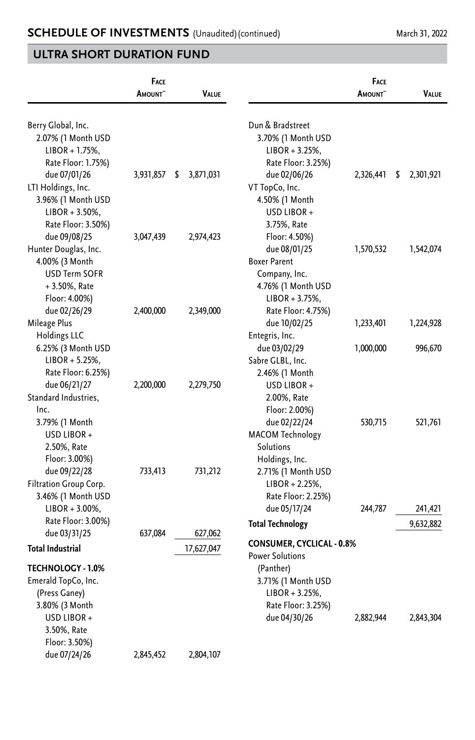|                          | <b>FACE</b><br><b>AMOUNT</b> | <b>VALUE</b>    |                                  | <b>FACE</b><br><b>A</b> mount^ | VALUE           |
|--------------------------|------------------------------|-----------------|----------------------------------|--------------------------------|-----------------|
| Berry Global, Inc.       |                              |                 | Dun & Bradstreet                 |                                |                 |
| 2.07% (1 Month USD       |                              |                 | 3.70% (1 Month USD               |                                |                 |
| $LIBOR + 1.75%$ ,        |                              |                 | $LIBOR + 3.25%$                  |                                |                 |
| Rate Floor: 1.75%)       |                              |                 | Rate Floor: 3.25%)               |                                |                 |
| due 07/01/26             | 3,931,857                    | 3,871,031<br>\$ | due 02/06/26                     | 2,326,441                      | \$<br>2,301,921 |
| LTI Holdings, Inc.       |                              |                 | VT TopCo, Inc.                   |                                |                 |
| 3.96% (1 Month USD       |                              |                 | 4.50% (1 Month                   |                                |                 |
| $LIBOR + 3.50\%,$        |                              |                 | USD LIBOR+                       |                                |                 |
| Rate Floor: 3.50%)       |                              |                 | 3.75%, Rate                      |                                |                 |
| due 09/08/25             | 3,047,439                    | 2,974,423       | Floor: 4.50%)                    |                                |                 |
| Hunter Douglas, Inc.     |                              |                 | due 08/01/25                     | 1,570,532                      | 1,542,074       |
| 4.00% (3 Month           |                              |                 | <b>Boxer Parent</b>              |                                |                 |
| <b>USD Term SOFR</b>     |                              |                 | Company, Inc.                    |                                |                 |
| $+3.50\%$ , Rate         |                              |                 | 4.76% (1 Month USD               |                                |                 |
| Floor: 4.00%)            |                              |                 | $LIBOR + 3.75%$ ,                |                                |                 |
| due 02/26/29             | 2,400,000                    | 2,349,000       | Rate Floor: 4.75%)               |                                |                 |
| Mileage Plus             |                              |                 | due 10/02/25                     | 1,233,401                      | 1,224,928       |
| <b>Holdings LLC</b>      |                              |                 | Entegris, Inc.                   |                                |                 |
| 6.25% (3 Month USD       |                              |                 | due 03/02/29                     | 1,000,000                      | 996,670         |
| $LIBOR + 5.25%$          |                              |                 | Sabre GLBL, Inc.                 |                                |                 |
| Rate Floor: 6.25%)       |                              |                 | 2.46% (1 Month                   |                                |                 |
| due 06/21/27             | 2,200,000                    | 2,279,750       | USD LIBOR +                      |                                |                 |
| Standard Industries.     |                              |                 | 2.00%, Rate                      |                                |                 |
| Inc.                     |                              |                 | Floor: 2.00%)                    |                                |                 |
| 3.79% (1 Month           |                              |                 | due 02/22/24                     | 530,715                        | 521,761         |
| USD LIBOR +              |                              |                 | MACOM Technology                 |                                |                 |
| 2.50%, Rate              |                              |                 | Solutions                        |                                |                 |
| Floor: 3.00%)            |                              |                 | Holdings, Inc.                   |                                |                 |
| due 09/22/28             | 733,413                      | 731,212         | 2.71% (1 Month USD               |                                |                 |
| Filtration Group Corp.   |                              |                 | $LIBOR + 2.25%$                  |                                |                 |
| 3.46% (1 Month USD       |                              |                 | Rate Floor: 2.25%)               |                                |                 |
| $LIBOR + 3.00\%$ ,       |                              |                 | due 05/17/24                     | 244,787                        | 241,421         |
| Rate Floor: 3.00%)       |                              |                 | <b>Total Technology</b>          |                                | 9,632,882       |
| due 03/31/25             | 637,084                      | 627,062         |                                  |                                |                 |
| <b>Total Industrial</b>  |                              | 17,627,047      | <b>CONSUMER, CYCLICAL - 0.8%</b> |                                |                 |
|                          |                              |                 | <b>Power Solutions</b>           |                                |                 |
| <b>TECHNOLOGY - 1.0%</b> |                              |                 | (Panther)                        |                                |                 |
| Emerald TopCo, Inc.      |                              |                 | 3.71% (1 Month USD               |                                |                 |
| (Press Ganey)            |                              |                 | $LIBOR + 3.25\%,$                |                                |                 |
| 3.80% (3 Month           |                              |                 | Rate Floor: 3.25%)               |                                |                 |
| USD LIBOR +              |                              |                 | due 04/30/26                     | 2,882,944                      | 2,843,304       |
| 3.50%, Rate              |                              |                 |                                  |                                |                 |
| Floor: 3.50%)            |                              |                 |                                  |                                |                 |
| due 07/24/26             | 2,845,452                    | 2,804,107       |                                  |                                |                 |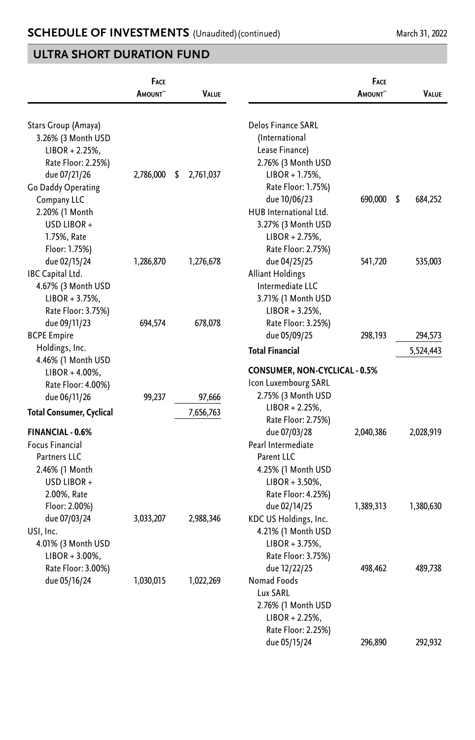| <b>VALUE</b>       | <b>FACE</b><br><b>AMOUNT</b> |                                                                                                                               | <b>VALUE</b>         | FACE<br><b>A</b> mount^ |                                                                                                                 |
|--------------------|------------------------------|-------------------------------------------------------------------------------------------------------------------------------|----------------------|-------------------------|-----------------------------------------------------------------------------------------------------------------|
|                    |                              | Delos Finance SARL<br>(International<br>Lease Finance)<br>2.76% (3 Month USD<br>LIBOR + 1.75%,                                | 2,761,037<br>\$      | 2,786,000               | Stars Group (Amaya)<br>3.26% (3 Month USD<br>LIBOR + 2.25%,<br>Rate Floor: 2.25%)<br>due 07/21/26               |
| 684,252            | \$<br>690,000                | Rate Floor: 1.75%)<br>due 10/06/23<br>HUB International Ltd.<br>3.27% (3 Month USD<br>$LIBOR + 2.75%$ ,<br>Rate Floor: 2.75%) |                      |                         | Go Daddy Operating<br>Company LLC<br>2.20% (1 Month<br>USD LIBOR+<br>1.75%, Rate<br>Floor: 1.75%)               |
| 535,003            | 541,720                      | due 04/25/25<br>Alliant Holdings<br>Intermediate LLC<br>3.71% (1 Month USD<br>LIBOR + 3.25%,<br>Rate Floor: 3.25%)            | 1,276,678<br>678,078 | 1,286,870<br>694,574    | due 02/15/24<br>IBC Capital Ltd.<br>4.67% (3 Month USD<br>$LIBOR + 3.75%$<br>Rate Floor: 3.75%)<br>due 09/11/23 |
| 294,573            | 298,193                      | due 05/09/25                                                                                                                  |                      |                         | <b>BCPE Empire</b>                                                                                              |
| 5,524,443          |                              | <b>Total Financial</b>                                                                                                        |                      |                         | Holdings, Inc.                                                                                                  |
|                    |                              | <b>CONSUMER, NON-CYCLICAL - 0.5%</b><br>Icon Luxembourg SARL<br>2.75% (3 Month USD                                            | 97,666               |                         | LIBOR + 4.00%,<br>Rate Floor: 4.00%)                                                                            |
|                    |                              | LIBOR + 2.25%,                                                                                                                |                      |                         | <b>Total Consumer, Cyclical</b>                                                                                 |
| 2,028,919          | 2,040,386                    | due 07/03/28<br>Pearl Intermediate<br>Parent LLC<br>4.25% (1 Month USD<br>$LIBOR + 3.50\%,$                                   |                      |                         | <b>FINANCIAL - 0.6%</b><br><b>Focus Financial</b><br><b>Partners LLC</b><br>2.46% (1 Month<br>USD LIBOR+        |
| 1,380,630          | 1,389,313                    | Rate Floor: 4.25%)<br>due 02/14/25<br>KDC US Holdings, Inc.<br>4.21% (1 Month USD<br>LIBOR + 3.75%,                           | 2,988,346            | 3,033,207               | 2.00%, Rate<br>Floor: 2.00%)<br>due 07/03/24<br>USI, Inc.<br>4.01% (3 Month USD                                 |
| 489,738<br>292,932 | 498,462                      | due 12/22/25<br>Nomad Foods<br>Lux SARL<br>2.76% (1 Month USD<br>LIBOR + 2.25%,<br>Rate Floor: 2.25%)                         | 1,022,269            | 1,030,015               | Rate Floor: 3.00%)<br>due 05/16/24                                                                              |
|                    | 296,890                      | Rate Floor: 2.75%)<br>Rate Floor: 3.75%)<br>due 05/15/24                                                                      | 7,656,763            | 99,237                  | 4.46% (1 Month USD<br>due 06/11/26<br>$LIBOR + 3.00\%$ ,                                                        |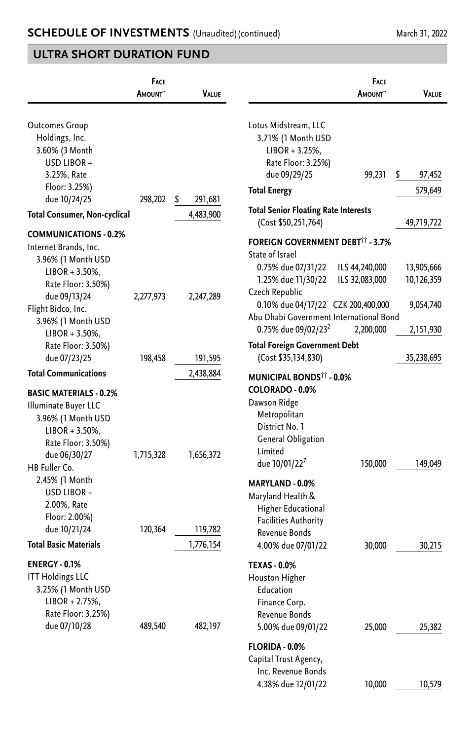|                                                                                                                                                         | FACE<br>AMOUNT <sup>~</sup> | VALUE         |                                                                                                                                     | <b>FACE</b><br>AMOUNT <sup>~</sup> | VALUE        |
|---------------------------------------------------------------------------------------------------------------------------------------------------------|-----------------------------|---------------|-------------------------------------------------------------------------------------------------------------------------------------|------------------------------------|--------------|
| <b>Outcomes Group</b><br>Holdings, Inc.<br>3.60% (3 Month<br>USD LIBOR +                                                                                |                             |               | Lotus Midstream, LLC<br>3.71% (1 Month USD<br>$LIBOR + 3.25%$<br>Rate Floor: 3.25%)                                                 |                                    |              |
| 3.25%, Rate                                                                                                                                             |                             |               | due 09/29/25                                                                                                                        | 99,231                             | \$<br>97,452 |
| Floor: 3.25%)                                                                                                                                           |                             |               | <b>Total Energy</b>                                                                                                                 |                                    | 579,649      |
| due 10/24/25                                                                                                                                            | 298,202                     | \$<br>291,681 | <b>Total Senior Floating Rate Interests</b>                                                                                         |                                    |              |
| <b>Total Consumer, Non-cyclical</b>                                                                                                                     |                             | 4,483,900     | (Cost \$50,251,764)                                                                                                                 |                                    | 49,719,722   |
| <b>COMMUNICATIONS - 0.2%</b><br>Internet Brands, Inc.<br>3.96% (1 Month USD                                                                             |                             |               | <b>FOREIGN GOVERNMENT DEBT<sup>††</sup> - 3.7%</b><br>State of Israel<br>0.75% due 07/31/22                                         | ILS 44,240,000                     | 13,905,666   |
| $LIBOR + 3.50\%,$<br>Rate Floor: 3.50%)                                                                                                                 |                             |               | 1.25% due 11/30/22<br>Czech Republic                                                                                                | ILS 32,083,000                     | 10,126,359   |
| due 09/13/24<br>Flight Bidco, Inc.<br>3.96% (1 Month USD                                                                                                | 2,277,973                   | 2,247,289     | 0.10% due 04/17/22 CZK 200,400,000<br>Abu Dhabi Government International Bond                                                       |                                    | 9,054,740    |
| $LIBOR + 3.50\%$                                                                                                                                        |                             |               | 0.75% due 09/02/23 <sup>2</sup>                                                                                                     | 2,200,000                          | 2,151,930    |
| Rate Floor: 3.50%)<br>due 07/23/25                                                                                                                      | 198,458                     | 191,595       | Total Foreign Government Debt<br>(Cost \$35,134,830)                                                                                |                                    | 35,238,695   |
| <b>Total Communications</b>                                                                                                                             |                             | 2,438,884     | <b>MUNICIPAL BONDS<sup>11</sup> - 0.0%</b>                                                                                          |                                    |              |
| <b>BASIC MATERIALS - 0.2%</b><br>Illuminate Buyer LLC<br>3.96% (1 Month USD<br>$LIBOR + 3.50\%,$<br>Rate Floor: 3.50%)<br>due 06/30/27<br>HB Fuller Co. | 1,715,328                   | 1,656,372     | COLORADO - 0.0%<br>Dawson Ridge<br>Metropolitan<br>District No. 1<br>General Obligation<br>Limited<br>due 10/01/22'                 | 150,000                            | 149,049      |
| 2.45% (1 Month<br>USD LIBOR+<br>2.00%, Rate<br>Floor: 2.00%)<br>due 10/21/24                                                                            | 120,364                     | 119,782       | MARYLAND - 0.0%<br>Maryland Health &<br>Higher Educational<br><b>Facilities Authority</b><br>Revenue Bonds                          |                                    |              |
| <b>Total Basic Materials</b>                                                                                                                            |                             | 1,776,154     | 4.00% due 07/01/22                                                                                                                  | 30,000                             | 30,215       |
| <b>ENERGY - 0.1%</b><br><b>ITT Holdings LLC</b><br>3.25% (1 Month USD<br>$LIBOR + 2.75%$ ,<br>Rate Floor: 3.25%)<br>due 07/10/28                        | 489,540                     | 482,197       | <b>TEXAS - 0.0%</b><br>Houston Higher<br>Education<br>Finance Corp.<br>Revenue Bonds<br>5.00% due 09/01/22<br><b>FLORIDA - 0.0%</b> | 25,000                             | 25,382       |
|                                                                                                                                                         |                             |               | Capital Trust Agency,<br>Inc. Revenue Bonds                                                                                         |                                    |              |

4.38% due 12/01/22 10,000 10,579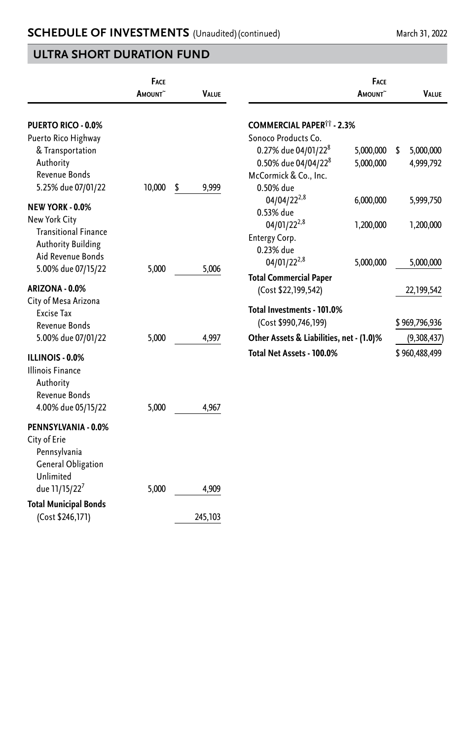|                                                                                                | FACE<br>AMOUNT <sup>~</sup> | <b>VALUE</b>     |                                                                                                       | FACE<br>AMOUNT <sup>~</sup> | VALUE                        |
|------------------------------------------------------------------------------------------------|-----------------------------|------------------|-------------------------------------------------------------------------------------------------------|-----------------------------|------------------------------|
| <b>PUERTO RICO - 0.0%</b><br>Puerto Rico Highway<br>& Transportation                           |                             |                  | <b>COMMERCIAL PAPER<sup>11</sup> - 2.3%</b><br>Sonoco Products Co.<br>0.27% due 04/01/22 <sup>8</sup> | 5,000,000                   | 5,000,000<br>-\$             |
| Authority<br>Revenue Bonds<br>5.25% due 07/01/22                                               | 10,000                      | \$<br>9,999      | 0.50% due 04/04/22 <sup>8</sup><br>McCormick & Co., Inc.<br>0.50% due                                 | 5,000,000                   | 4,999,792                    |
| <b>NEW YORK - 0.0%</b><br>New York City<br><b>Transitional Finance</b>                         |                             |                  | $04/04/22^{2,8}$<br>0.53% due<br>04/01/22 <sup>2,8</sup>                                              | 6,000,000<br>1,200,000      | 5,999,750<br>1,200,000       |
| <b>Authority Building</b><br>Aid Revenue Bonds<br>5.00% due 07/15/22                           | 5,000                       | 5,006            | Entergy Corp.<br>0.23% due<br>04/01/22 <sup>2,8</sup>                                                 | 5,000,000                   | 5,000,000                    |
| ARIZONA - 0.0%<br>City of Mesa Arizona                                                         |                             |                  | <b>Total Commercial Paper</b><br>(Cost \$22,199,542)                                                  |                             | 22,199,542                   |
| <b>Excise Tax</b><br>Revenue Bonds<br>5.00% due 07/01/22                                       | 5,000                       | 4,997            | Total Investments - 101.0%<br>(Cost \$990,746,199)<br>Other Assets & Liabilities, net - (1.0)%        |                             | \$969,796,936<br>(9,308,437) |
| ILLINOIS - 0.0%<br><b>Illinois Finance</b><br>Authority<br>Revenue Bonds<br>4.00% due 05/15/22 | 5,000                       | 4,967            | Total Net Assets - 100.0%                                                                             |                             | \$960,488,499                |
| PENNSYLVANIA - 0.0%<br>City of Erie<br>Pennsylvania<br><b>General Obligation</b><br>Unlimited  |                             |                  |                                                                                                       |                             |                              |
| due 11/15/22 <sup>7</sup><br><b>Total Municipal Bonds</b><br>(Cost \$246,171)                  | 5,000                       | 4,909<br>245,103 |                                                                                                       |                             |                              |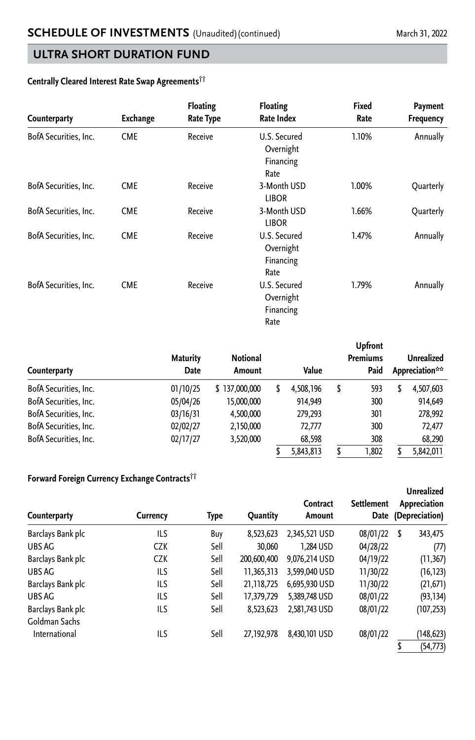#### **Centrally Cleared Interest Rate Swap Agreements††**

| Counterparty          | Exchange   | <b>Floating</b><br><b>Rate Type</b> | <b>Floating</b><br>Rate Index                           | Fixed<br>Rate | Payment<br>Frequency |
|-----------------------|------------|-------------------------------------|---------------------------------------------------------|---------------|----------------------|
| BofA Securities, Inc. | <b>CME</b> | Receive                             | U.S. Secured<br>Overnight<br>Financing<br>Rate          | 1.10%         | Annually             |
| BofA Securities, Inc. | <b>CME</b> | Receive                             | 3-Month USD<br><b>LIBOR</b>                             | 1.00%         | Quarterly            |
| BofA Securities, Inc. | <b>CME</b> | Receive                             | 3-Month USD<br><b>LIBOR</b>                             | 1.66%         | Quarterly            |
| BofA Securities, Inc. | <b>CME</b> | Receive                             | U.S. Secured<br>1.47%<br>Overnight<br>Financing<br>Rate |               | Annually             |
| BofA Securities, Inc. | <b>CME</b> | Receive                             | U.S. Secured<br>Overnight<br>Financing<br>Rate          | 1.79%         | Annually             |

| <b>Counterparty</b>   | <b>Maturity</b><br>Date | <b>Notional</b><br>Amount |   | Value     |   | <b>Upfront</b><br><b>Premiums</b><br>Paid |   | Unrealized<br>Appreciation** |
|-----------------------|-------------------------|---------------------------|---|-----------|---|-------------------------------------------|---|------------------------------|
| BofA Securities, Inc. | 01/10/25                | \$137,000,000             | S | 4,508,196 | S | 593                                       | S | 4,507,603                    |
| BofA Securities, Inc. | 05/04/26                | 15,000,000                |   | 914.949   |   | 300                                       |   | 914.649                      |
| BofA Securities, Inc. | 03/16/31                | 4,500,000                 |   | 279,293   |   | 301                                       |   | 278,992                      |
| BofA Securities, Inc. | 02/02/27                | 2,150,000                 |   | 72.777    |   | 300                                       |   | 72.477                       |
| BofA Securities, Inc. | 02/17/27                | 3,520,000                 |   | 68,598    |   | 308                                       |   | 68,290                       |
|                       |                         |                           |   | 5,843,813 |   | .802                                      |   | 5,842,011                    |

#### **Forward Foreign Currency Exchange Contracts††**

| Counterparty      | Currency   | Type | <b>Quantity</b> | Contract<br>Amount | <b>Settlement</b><br>Date | <b>Unrealized</b><br>Appreciation<br>(Depreciation) |
|-------------------|------------|------|-----------------|--------------------|---------------------------|-----------------------------------------------------|
| Barclays Bank plc | ILS        | Buy  | 8,523,623       | 2,345,521 USD      | 08/01/22                  | \$<br>343,475                                       |
| UBS AG            | <b>CZK</b> | Sell | 30.060          | 1.284 USD          | 04/28/22                  | (77)                                                |
| Barclays Bank plc | CZK        | Sell | 200,600,400     | 9,076,214 USD      | 04/19/22                  | (11, 367)                                           |
| UBS AG            | ILS        | Sell | 11.365.313      | 3,599,040 USD      | 11/30/22                  | (16, 123)                                           |
| Barclays Bank plc | ILS        | Sell | 21,118,725      | 6.695.930 USD      | 11/30/22                  | (21, 671)                                           |
| UBS AG            | ILS        | Sell | 17,379,729      | 5.389.748 USD      | 08/01/22                  | (93, 134)                                           |
| Barclays Bank plc | ILS        | Sell | 8,523,623       | 2,581,743 USD      | 08/01/22                  | (107, 253)                                          |
| Goldman Sachs     |            |      |                 |                    |                           |                                                     |
| International     | ILS        | Sell | 27,192,978      | 8,430,101 USD      | 08/01/22                  | (148, 623)                                          |
|                   |            |      |                 |                    |                           | (54, 773)                                           |